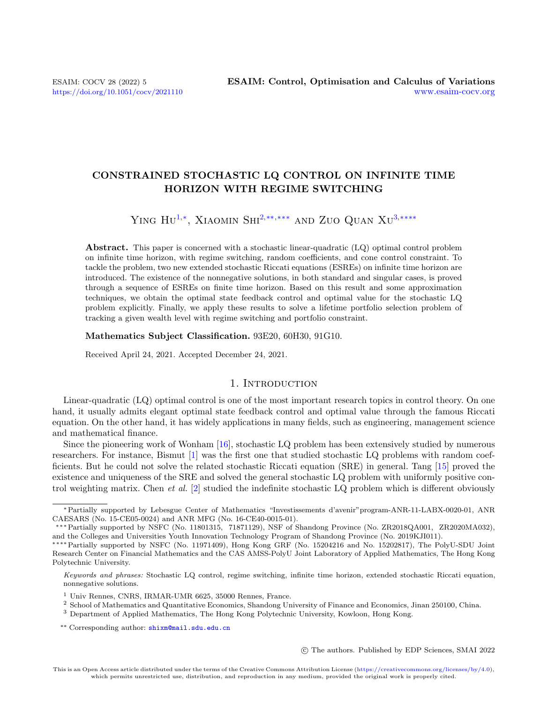# CONSTRAINED STOCHASTIC LQ CONTROL ON INFINITE TIME HORIZON WITH REGIME SWITCHING

# YING  $\rm{Hu^{1,*}}$  $\rm{Hu^{1,*}}$  $\rm{Hu^{1,*}}$ , XIAOMIN  $\rm{SHI}^{2, **}, **$  $\rm{SHI}^{2, **}, **$  $\rm{SHI}^{2, **}, **$  AND ZUO QUAN  $\rm{XU}^{3,***}$  $\rm{XU}^{3,***}$  $\rm{XU}^{3,***}$

Abstract. This paper is concerned with a stochastic linear-quadratic (LQ) optimal control problem on infinite time horizon, with regime switching, random coefficients, and cone control constraint. To tackle the problem, two new extended stochastic Riccati equations (ESREs) on infinite time horizon are introduced. The existence of the nonnegative solutions, in both standard and singular cases, is proved through a sequence of ESREs on finite time horizon. Based on this result and some approximation techniques, we obtain the optimal state feedback control and optimal value for the stochastic LQ problem explicitly. Finally, we apply these results to solve a lifetime portfolio selection problem of tracking a given wealth level with regime switching and portfolio constraint.

#### Mathematics Subject Classification. 93E20, 60H30, 91G10.

Received April 24, 2021. Accepted December 24, 2021.

# 1. INTRODUCTION

Linear-quadratic (LQ) optimal control is one of the most important research topics in control theory. On one hand, it usually admits elegant optimal state feedback control and optimal value through the famous Riccati equation. On the other hand, it has widely applications in many fields, such as engineering, management science and mathematical finance.

Since the pioneering work of Wonham [\[16\]](#page-23-0), stochastic LQ problem has been extensively studied by numerous researchers. For instance, Bismut [\[1\]](#page-22-0) was the first one that studied stochastic LQ problems with random coefficients. But he could not solve the related stochastic Riccati equation (SRE) in general. Tang [\[15\]](#page-23-1) proved the existence and uniqueness of the SRE and solved the general stochastic LQ problem with uniformly positive control weighting matrix. Chen et al.  $[2]$  studied the indefinite stochastic LQ problem which is different obviously

c The authors. Published by EDP Sciences, SMAI 2022

<sup>∗</sup>Partially supported by Lebesgue Center of Mathematics "Investissements d'avenir"program-ANR-11-LABX-0020-01, ANR CAESARS (No. 15-CE05-0024) and ANR MFG (No. 16-CE40-0015-01).

<sup>∗∗∗</sup>Partially supported by NSFC (No. 11801315, 71871129), NSF of Shandong Province (No. ZR2018QA001, ZR2020MA032), and the Colleges and Universities Youth Innovation Technology Program of Shandong Province (No. 2019KJI011).

<sup>∗∗∗∗</sup>Partially supported by NSFC (No. 11971409), Hong Kong GRF (No. 15204216 and No. 15202817), The PolyU-SDU Joint Research Center on Financial Mathematics and the CAS AMSS-PolyU Joint Laboratory of Applied Mathematics, The Hong Kong Polytechnic University.

<span id="page-0-3"></span>Keywords and phrases: Stochastic LQ control, regime switching, infinite time horizon, extended stochastic Riccati equation, nonnegative solutions.

<span id="page-0-0"></span><sup>1</sup> Univ Rennes, CNRS, IRMAR-UMR 6625, 35000 Rennes, France.

<span id="page-0-1"></span><sup>2</sup> School of Mathematics and Quantitative Economics, Shandong University of Finance and Economics, Jinan 250100, China.

<span id="page-0-2"></span><sup>3</sup> Department of Applied Mathematics, The Hong Kong Polytechnic University, Kowloon, Hong Kong.

<sup>\*\*</sup> Corresponding author: [shixm@mail.sdu.edu.cn](mailto:shixm@mail.sdu.edu.cn)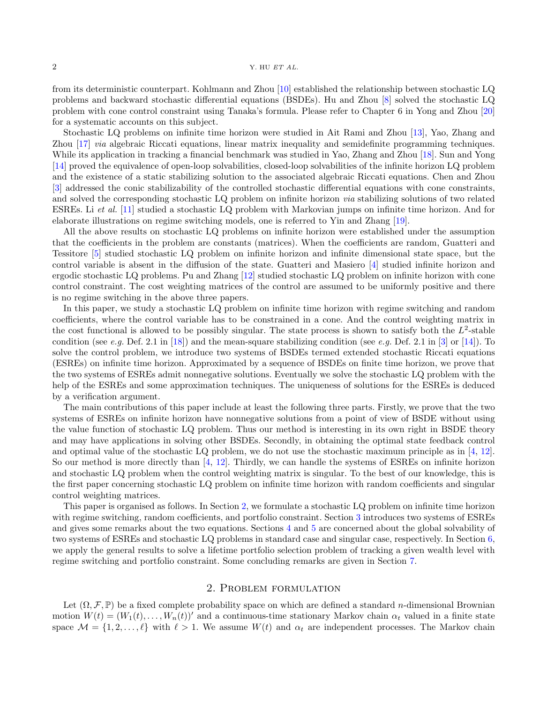from its deterministic counterpart. Kohlmann and Zhou [\[10\]](#page-22-2) established the relationship between stochastic LQ problems and backward stochastic differential equations (BSDEs). Hu and Zhou [\[8\]](#page-22-3) solved the stochastic LQ problem with cone control constraint using Tanaka's formula. Please refer to Chapter 6 in Yong and Zhou [\[20\]](#page-23-2) for a systematic accounts on this subject.

Stochastic LQ problems on infinite time horizon were studied in Ait Rami and Zhou [\[13\]](#page-23-3), Yao, Zhang and Zhou [\[17\]](#page-23-4) via algebraic Riccati equations, linear matrix inequality and semidefinite programming techniques. While its application in tracking a financial benchmark was studied in Yao, Zhang and Zhou [\[18\]](#page-23-5). Sun and Yong [\[14\]](#page-23-6) proved the equivalence of open-loop solvabilities, closed-loop solvabilities of the infinite horizon LQ problem and the existence of a static stabilizing solution to the associated algebraic Riccati equations. Chen and Zhou [\[3\]](#page-22-4) addressed the conic stabilizability of the controlled stochastic differential equations with cone constraints, and solved the corresponding stochastic LQ problem on infinite horizon via stabilizing solutions of two related ESREs. Li et al. [\[11\]](#page-22-5) studied a stochastic LQ problem with Markovian jumps on infinite time horizon. And for elaborate illustrations on regime switching models, one is referred to Yin and Zhang [\[19\]](#page-23-7).

All the above results on stochastic LQ problems on infinite horizon were established under the assumption that the coefficients in the problem are constants (matrices). When the coefficients are random, Guatteri and Tessitore [\[5\]](#page-22-6) studied stochastic LQ problem on infinite horizon and infinite dimensional state space, but the control variable is absent in the diffusion of the state. Guatteri and Masiero [\[4\]](#page-22-7) studied infinite horizon and ergodic stochastic LQ problems. Pu and Zhang [\[12\]](#page-22-8) studied stochastic LQ problem on infinite horizon with cone control constraint. The cost weighting matrices of the control are assumed to be uniformly positive and there is no regime switching in the above three papers.

In this paper, we study a stochastic LQ problem on infinite time horizon with regime switching and random coefficients, where the control variable has to be constrained in a cone. And the control weighting matrix in the cost functional is allowed to be possibly singular. The state process is shown to satisfy both the  $L^2$ -stable condition (see e.g. Def. 2.1 in [\[18\]](#page-23-5)) and the mean-square stabilizing condition (see e.g. Def. 2.1 in [\[3\]](#page-22-4) or [\[14\]](#page-23-6)). To solve the control problem, we introduce two systems of BSDEs termed extended stochastic Riccati equations (ESREs) on infinite time horizon. Approximated by a sequence of BSDEs on finite time horizon, we prove that the two systems of ESREs admit nonnegative solutions. Eventually we solve the stochastic LQ problem with the help of the ESREs and some approximation techniques. The uniqueness of solutions for the ESREs is deduced by a verification argument.

The main contributions of this paper include at least the following three parts. Firstly, we prove that the two systems of ESREs on infinite horizon have nonnegative solutions from a point of view of BSDE without using the value function of stochastic LQ problem. Thus our method is interesting in its own right in BSDE theory and may have applications in solving other BSDEs. Secondly, in obtaining the optimal state feedback control and optimal value of the stochastic LQ problem, we do not use the stochastic maximum principle as in [\[4,](#page-22-7) [12\]](#page-22-8). So our method is more directly than [\[4,](#page-22-7) [12\]](#page-22-8). Thirdly, we can handle the systems of ESREs on infinite horizon and stochastic LQ problem when the control weighting matrix is singular. To the best of our knowledge, this is the first paper concerning stochastic LQ problem on infinite time horizon with random coefficients and singular control weighting matrices.

This paper is organised as follows. In Section [2,](#page-1-0) we formulate a stochastic LQ problem on infinite time horizon with regime switching, random coefficients, and portfolio constraint. Section [3](#page-5-0) introduces two systems of ESREs and gives some remarks about the two equations. Sections [4](#page-7-0) and [5](#page-14-0) are concerned about the global solvability of two systems of ESREs and stochastic LQ problems in standard case and singular case, respectively. In Section [6,](#page-18-0) we apply the general results to solve a lifetime portfolio selection problem of tracking a given wealth level with regime switching and portfolio constraint. Some concluding remarks are given in Section [7.](#page-22-9)

#### 2. Problem formulation

<span id="page-1-0"></span>Let  $(\Omega, \mathcal{F}, \mathbb{P})$  be a fixed complete probability space on which are defined a standard *n*-dimensional Brownian motion  $W(t) = (W_1(t), \ldots, W_n(t))'$  and a continuous-time stationary Markov chain  $\alpha_t$  valued in a finite state space  $\mathcal{M} = \{1, 2, \ldots, \ell\}$  with  $\ell > 1$ . We assume  $W(t)$  and  $\alpha_t$  are independent processes. The Markov chain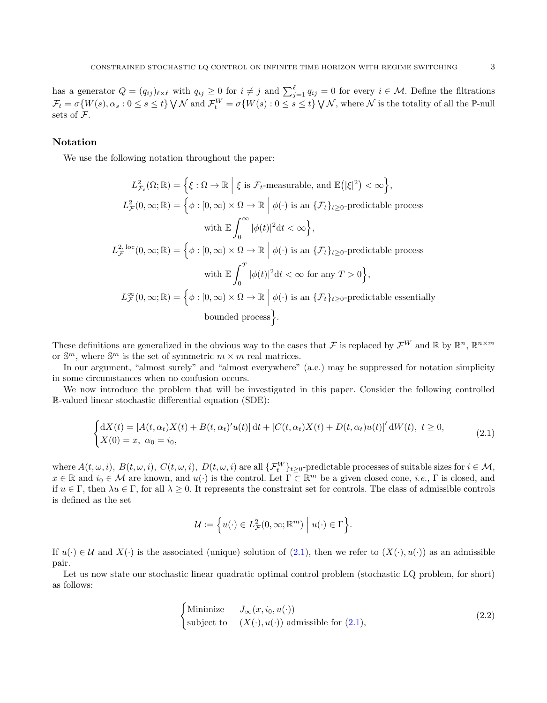has a generator  $Q = (q_{ij})_{\ell \times \ell}$  with  $q_{ij} \geq 0$  for  $i \neq j$  and  $\sum_{j=1}^{\ell} q_{ij} = 0$  for every  $i \in \mathcal{M}$ . Define the filtrations  $\mathcal{F}_t = \sigma\{W(s), \alpha_s : 0 \le s \le t\} \setminus \mathcal{N} \text{ and } \mathcal{F}_t^W = \sigma\{W(s) : 0 \le s \le t\} \setminus \mathcal{N} \text{, where } \mathcal{N} \text{ is the totality of all the } \mathbb{P}\text{-null} \text{ and } \mathcal{N}^W_t = \sigma\{W(s) : 0 \le s \le t\} \setminus \mathcal{N} \text{, where } \mathcal{N} \text{ is the totality of all the } \mathbb{P}\text{-null} \text{ and } \mathcal{N}^W_t = \sigma\{W(s) : 0 \le s \le t\$ sets of F.

## Notation

We use the following notation throughout the paper:

$$
L_{\mathcal{F}_t}^2(\Omega; \mathbb{R}) = \left\{ \xi : \Omega \to \mathbb{R} \mid \xi \text{ is } \mathcal{F}_t\text{-measurable, and } \mathbb{E}(|\xi|^2) < \infty \right\},
$$
\n
$$
L_{\mathcal{F}}^2(0, \infty; \mathbb{R}) = \left\{ \phi : [0, \infty) \times \Omega \to \mathbb{R} \mid \phi(\cdot) \text{ is an } \{ \mathcal{F}_t \}_{t \geq 0}\text{-predictable process}
$$
\n
$$
\text{with } \mathbb{E} \int_0^\infty |\phi(t)|^2 \, dt < \infty \right\},
$$
\n
$$
L_{\mathcal{F}}^2^{\text{-loc}}(0, \infty; \mathbb{R}) = \left\{ \phi : [0, \infty) \times \Omega \to \mathbb{R} \mid \phi(\cdot) \text{ is an } \{ \mathcal{F}_t \}_{t \geq 0}\text{-predictable process}
$$
\n
$$
\text{with } \mathbb{E} \int_0^T |\phi(t)|^2 \, dt < \infty \text{ for any } T > 0 \right\},
$$
\n
$$
L_{\mathcal{F}}^\infty(0, \infty; \mathbb{R}) = \left\{ \phi : [0, \infty) \times \Omega \to \mathbb{R} \mid \phi(\cdot) \text{ is an } \{ \mathcal{F}_t \}_{t \geq 0}\text{-predictable essentially bounded process} \right\}.
$$

These definitions are generalized in the obvious way to the cases that F is replaced by  $\mathcal{F}^W$  and R by  $\mathbb{R}^n$ ,  $\mathbb{R}^{n \times m}$ or  $\mathbb{S}^m$ , where  $\mathbb{S}^m$  is the set of symmetric  $m \times m$  real matrices.

In our argument, "almost surely" and "almost everywhere" (a.e.) may be suppressed for notation simplicity in some circumstances when no confusion occurs.

We now introduce the problem that will be investigated in this paper. Consider the following controlled R-valued linear stochastic differential equation (SDE):

$$
\begin{cases} dX(t) = [A(t, \alpha_t)X(t) + B(t, \alpha_t)'u(t)] dt + [C(t, \alpha_t)X(t) + D(t, \alpha_t)u(t)]' dW(t), \ t \ge 0, \\ X(0) = x, \ \alpha_0 = i_0, \end{cases}
$$
(2.1)

where  $A(t, \omega, i)$ ,  $B(t, \omega, i)$ ,  $C(t, \omega, i)$ ,  $D(t, \omega, i)$  are all  $\{\mathcal{F}_t^W\}_{t\geq 0}$ -predictable processes of suitable sizes for  $i \in \mathcal{M}$ ,  $x \in \mathbb{R}$  and  $i_0 \in \mathcal{M}$  are known, and  $u(\cdot)$  is the control. Let  $\Gamma \subset \mathbb{R}^m$  be a given closed cone, *i.e.*,  $\Gamma$  is closed, and if  $u \in \Gamma$ , then  $\lambda u \in \Gamma$ , for all  $\lambda \geq 0$ . It represents the constraint set for controls. The class of admissible controls is defined as the set

<span id="page-2-1"></span><span id="page-2-0"></span>
$$
\mathcal{U} := \left\{ u(\cdot) \in L^2_{\mathcal{F}}(0, \infty; \mathbb{R}^m) \mid u(\cdot) \in \Gamma \right\}.
$$

If  $u(\cdot) \in \mathcal{U}$  and  $X(\cdot)$  is the associated (unique) solution of [\(2.1\)](#page-2-0), then we refer to  $(X(\cdot), u(\cdot))$  as an admissible pair.

Let us now state our stochastic linear quadratic optimal control problem (stochastic LQ problem, for short) as follows:

$$
\begin{cases}\n\text{Minimize} & J_{\infty}(x, i_0, u(\cdot)) \\
\text{subject to} & (X(\cdot), u(\cdot)) \text{ admissible for (2.1)},\n\end{cases} \tag{2.2}
$$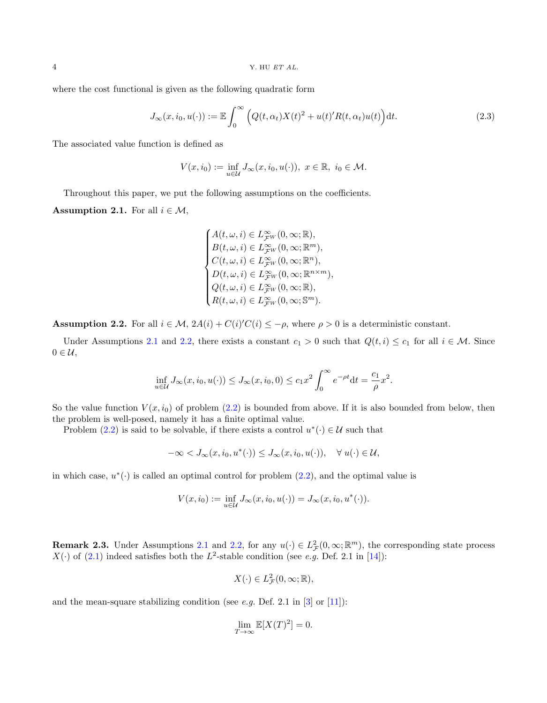where the cost functional is given as the following quadratic form

$$
J_{\infty}(x, i_0, u(\cdot)) := \mathbb{E} \int_0^{\infty} \left( Q(t, \alpha_t) X(t)^2 + u(t)' R(t, \alpha_t) u(t) \right) dt.
$$
 (2.3)

The associated value function is defined as

$$
V(x, i_0) := \inf_{u \in \mathcal{U}} J_{\infty}(x, i_0, u(\cdot)), \ x \in \mathbb{R}, \ i_0 \in \mathcal{M}.
$$

Throughout this paper, we put the following assumptions on the coefficients.

<span id="page-3-0"></span>**Assumption 2.1.** For all  $i \in \mathcal{M}$ ,

<span id="page-3-2"></span>
$$
\begin{cases} A(t,\omega,i)\in L^\infty_{\mathcal{F}^W}(0,\infty;\mathbb{R}),\\ B(t,\omega,i)\in L^\infty_{\mathcal{F}^W}(0,\infty;\mathbb{R}^m),\\ C(t,\omega,i)\in L^\infty_{\mathcal{F}^W}(0,\infty;\mathbb{R}^n),\\ D(t,\omega,i)\in L^\infty_{\mathcal{F}^W}(0,\infty;\mathbb{R}^{n\times m}),\\ Q(t,\omega,i)\in L^\infty_{\mathcal{F}^W}(0,\infty;\mathbb{R}),\\ R(t,\omega,i)\in L^\infty_{\mathcal{F}^W}(0,\infty;\mathbb{S}^m). \end{cases}
$$

<span id="page-3-1"></span>**Assumption 2.2.** For all  $i \in \mathcal{M}$ ,  $2A(i) + C(i)C(i) \leq -\rho$ , where  $\rho > 0$  is a deterministic constant.

Under Assumptions [2.1](#page-3-0) and [2.2,](#page-3-1) there exists a constant  $c_1 > 0$  such that  $Q(t, i) \leq c_1$  for all  $i \in \mathcal{M}$ . Since  $0 \in \mathcal{U},$ 

$$
\inf_{u \in \mathcal{U}} J_{\infty}(x, i_0, u(\cdot)) \leq J_{\infty}(x, i_0, 0) \leq c_1 x^2 \int_0^{\infty} e^{-\rho t} dt = \frac{c_1}{\rho} x^2.
$$

So the value function  $V(x, i_0)$  of problem [\(2.2\)](#page-2-1) is bounded from above. If it is also bounded from below, then the problem is well-posed, namely it has a finite optimal value.

Problem [\(2.2\)](#page-2-1) is said to be solvable, if there exists a control  $u^*(\cdot) \in \mathcal{U}$  such that

$$
-\infty < J_{\infty}(x, i_0, u^*(\cdot)) \le J_{\infty}(x, i_0, u(\cdot)), \quad \forall u(\cdot) \in \mathcal{U},
$$

in which case,  $u^*(\cdot)$  is called an optimal control for problem  $(2.2)$ , and the optimal value is

$$
V(x, i_0) := \inf_{u \in \mathcal{U}} J_{\infty}(x, i_0, u(\cdot)) = J_{\infty}(x, i_0, u^*(\cdot)).
$$

<span id="page-3-3"></span>**Remark 2.3.** Under Assumptions [2.1](#page-3-0) and [2.2,](#page-3-1) for any  $u(\cdot) \in L^2_{\mathcal{F}}(0,\infty;\mathbb{R}^m)$ , the corresponding state process  $X(\cdot)$  of [\(2.1\)](#page-2-0) indeed satisfies both the  $L^2$ -stable condition (see e.g. Def. 2.1 in [\[14\]](#page-23-6)):

$$
X(\cdot) \in L^2_{\mathcal{F}}(0,\infty;\mathbb{R}),
$$

and the mean-square stabilizing condition (see *e.g.* Def. 2.1 in  $\boxed{3}$  or  $\boxed{11}$ ):

$$
\lim_{T \to \infty} \mathbb{E}[X(T)^2] = 0.
$$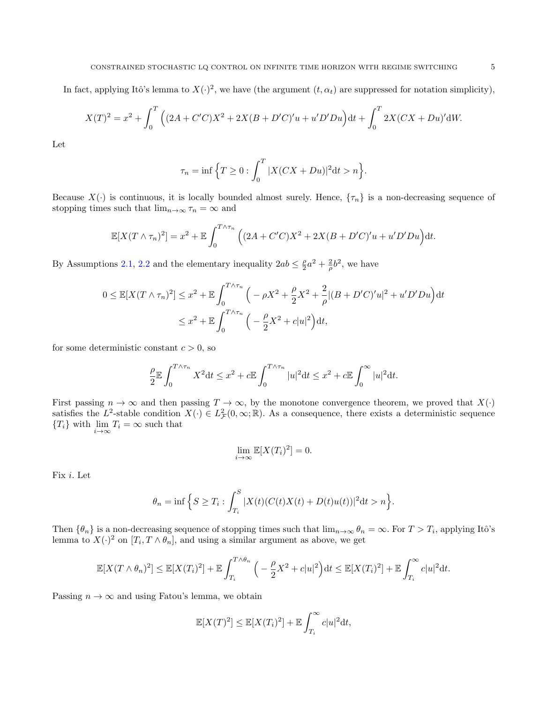In fact, applying Itô's lemma to  $X(\cdot)^2$ , we have (the argument  $(t, \alpha_t)$ ) are suppressed for notation simplicity),

$$
X(T)^{2} = x^{2} + \int_{0}^{T} \left( (2A + C'C)X^{2} + 2X(B + D'C)'u + u'D'Du \right) dt + \int_{0}^{T} 2X(CX + Du)'dW.
$$

Let

$$
\tau_n = \inf \left\{ T \ge 0 : \int_0^T |X(CX + Du)|^2 dt > n \right\}.
$$

Because  $X(\cdot)$  is continuous, it is locally bounded almost surely. Hence,  $\{\tau_n\}$  is a non-decreasing sequence of stopping times such that  $\lim_{n\to\infty} \tau_n = \infty$  and

$$
\mathbb{E}[X(T \wedge \tau_n)^2] = x^2 + \mathbb{E} \int_0^{T \wedge \tau_n} \left( (2A + C'C)X^2 + 2X(B + D'C)'u + u'D'Du \right) dt.
$$

By Assumptions [2.1,](#page-3-0) [2.2](#page-3-1) and the elementary inequality  $2ab \leq \frac{\rho}{2}a^2 + \frac{2}{\rho}b^2$ , we have

$$
0 \le \mathbb{E}[X(T \wedge \tau_n)^2] \le x^2 + \mathbb{E} \int_0^{T \wedge \tau_n} \left( -\rho X^2 + \frac{\rho}{2} X^2 + \frac{2}{\rho} |(B + D'C)'u|^2 + u'D'Du \right) dt
$$
  

$$
\le x^2 + \mathbb{E} \int_0^{T \wedge \tau_n} \left( -\frac{\rho}{2} X^2 + c|u|^2 \right) dt,
$$

for some deterministic constant  $c > 0$ , so

$$
\frac{\rho}{2} \mathbb{E} \int_0^{T \wedge \tau_n} X^2 dt \le x^2 + c \mathbb{E} \int_0^{T \wedge \tau_n} |u|^2 dt \le x^2 + c \mathbb{E} \int_0^{\infty} |u|^2 dt.
$$

First passing  $n \to \infty$  and then passing  $T \to \infty$ , by the monotone convergence theorem, we proved that  $X(\cdot)$ satisfies the L<sup>2</sup>-stable condition  $X(\cdot) \in L^2_{\mathcal{F}}(0,\infty;\mathbb{R})$ . As a consequence, there exists a deterministic sequence  ${T_i}$  with  $\lim_{i \to \infty} T_i = \infty$  such that

$$
\lim_{i \to \infty} \mathbb{E}[X(T_i)^2] = 0.
$$

Fix i. Let

$$
\theta_n = \inf \left\{ S \ge T_i : \int_{T_i}^S |X(t)(C(t)X(t) + D(t)u(t))|^2 dt > n \right\}.
$$

Then  $\{\theta_n\}$  is a non-decreasing sequence of stopping times such that  $\lim_{n\to\infty}\theta_n=\infty$ . For  $T>T_i$ , applying Itô's lemma to  $X(\cdot)^2$  on  $[T_i, T \wedge \theta_n]$ , and using a similar argument as above, we get

$$
\mathbb{E}[X(T\wedge \theta_n)^2] \leq \mathbb{E}[X(T_i)^2] + \mathbb{E}\int_{T_i}^{T\wedge \theta_n} \Big(-\frac{\rho}{2}X^2 + c|u|^2\Big)dt \leq \mathbb{E}[X(T_i)^2] + \mathbb{E}\int_{T_i}^{\infty} c|u|^2dt.
$$

Passing  $n \to \infty$  and using Fatou's lemma, we obtain

$$
\mathbb{E}[X(T)^{2}] \leq \mathbb{E}[X(T_{i})^{2}] + \mathbb{E}\int_{T_{i}}^{\infty} c|u|^{2}dt,
$$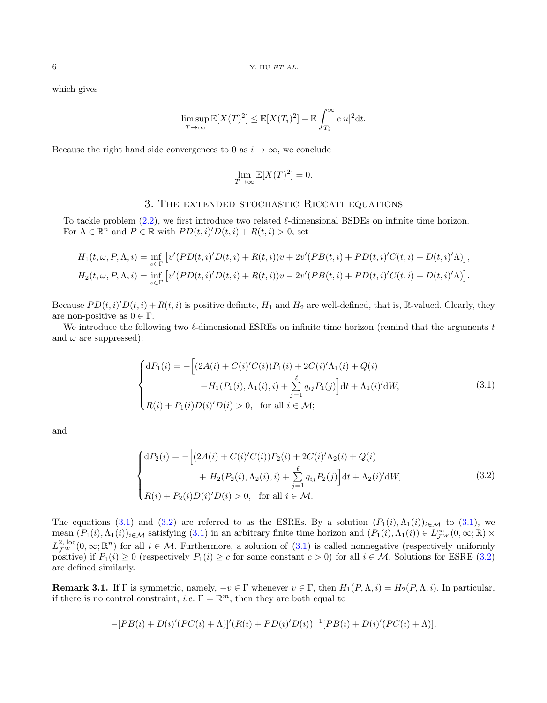which gives

$$
\limsup_{T \to \infty} \mathbb{E}[X(T)^{2}] \leq \mathbb{E}[X(T_{i})^{2}] + \mathbb{E} \int_{T_{i}}^{\infty} c|u|^{2} dt.
$$

Because the right hand side convergences to 0 as  $i \to \infty$ , we conclude

<span id="page-5-1"></span>
$$
\lim_{T \to \infty} \mathbb{E}[X(T)^2] = 0.
$$

### 3. The extended stochastic Riccati equations

<span id="page-5-0"></span>To tackle problem  $(2.2)$ , we first introduce two related  $\ell$ -dimensional BSDEs on infinite time horizon. For  $\Lambda \in \mathbb{R}^n$  and  $P \in \mathbb{R}$  with  $PD(t, i)D(t, i) + R(t, i) > 0$ , set

$$
H_1(t, \omega, P, \Lambda, i) = \inf_{v \in \Gamma} \left[ v'(PD(t, i)'D(t, i) + R(t, i))v + 2v'(PB(t, i) + PD(t, i)'C(t, i) + D(t, i)'\Lambda) \right],
$$
  
\n
$$
H_2(t, \omega, P, \Lambda, i) = \inf_{v \in \Gamma} \left[ v'(PD(t, i)'D(t, i) + R(t, i))v - 2v'(PB(t, i) + PD(t, i)'C(t, i) + D(t, i)'\Lambda) \right].
$$

Because  $PD(t, i) \cap D(t, i) + R(t, i)$  is positive definite,  $H_1$  and  $H_2$  are well-defined, that is, R-valued. Clearly, they are non-positive as  $0 \in \Gamma$ .

We introduce the following two  $\ell$ -dimensional ESREs on infinite time horizon (remind that the arguments t and  $\omega$  are suppressed):

$$
\begin{cases}\ndP_1(i) = -\left[ (2A(i) + C(i)'C(i))P_1(i) + 2C(i)' \Lambda_1(i) + Q(i) + H_1(P_1(i), \Lambda_1(i), i) + \sum_{j=1}^{\ell} q_{ij} P_1(j) \right] dt + \Lambda_1(i)' dW, \\
R(i) + P_1(i)D(i)'D(i) > 0, \text{ for all } i \in \mathcal{M};\n\end{cases}
$$
\n(3.1)

and

<span id="page-5-2"></span>
$$
\begin{cases}\ndP_2(i) = -\left[ (2A(i) + C(i)'C(i))P_2(i) + 2C(i)'\Lambda_2(i) + Q(i) + H_2(P_2(i), \Lambda_2(i), i) + \sum_{j=1}^{\ell} q_{ij}P_2(j) \right] dt + \Lambda_2(i)'dW, \\
R(i) + P_2(i)D(i)'D(i) > 0, \text{ for all } i \in \mathcal{M}.\n\end{cases} \tag{3.2}
$$

The equations [\(3.1\)](#page-5-1) and [\(3.2\)](#page-5-2) are referred to as the ESREs. By a solution  $(P_1(i), \Lambda_1(i))_{i \in \mathcal{M}}$  to (3.1), we mean  $(P_1(i), \Lambda_1(i))_{i \in \mathcal{M}}$  satisfying [\(3.1\)](#page-5-1) in an arbitrary finite time horizon and  $(P_1(i), \Lambda_1(i)) \in L^{\infty}_{\mathcal{F}^W}(0, \infty; \mathbb{R}) \times$  $L_{\mathcal{F}W}^{2,\text{loc}}(0,\infty;\mathbb{R}^n)$  for all  $i \in \mathcal{M}$ . Furthermore, a solution of  $(3.1)$  is called nonnegative (respectively uniformly positive) if  $P_1(i) \geq 0$  (respectively  $P_1(i) \geq c$  for some constant  $c > 0$ ) for all  $i \in \mathcal{M}$ . Solutions for ESRE [\(3.2\)](#page-5-2) are defined similarly.

**Remark 3.1.** If Γ is symmetric, namely,  $-v \in \Gamma$  whenever  $v \in \Gamma$ , then  $H_1(P, \Lambda, i) = H_2(P, \Lambda, i)$ . In particular, if there is no control constraint, *i.e.*  $\Gamma = \mathbb{R}^m$ , then they are both equal to

$$
-[PB(i) + D(i)'(PC(i) + \Lambda)]'(R(i) + PD(i)'D(i))^{-1}[PB(i) + D(i)'(PC(i) + \Lambda)].
$$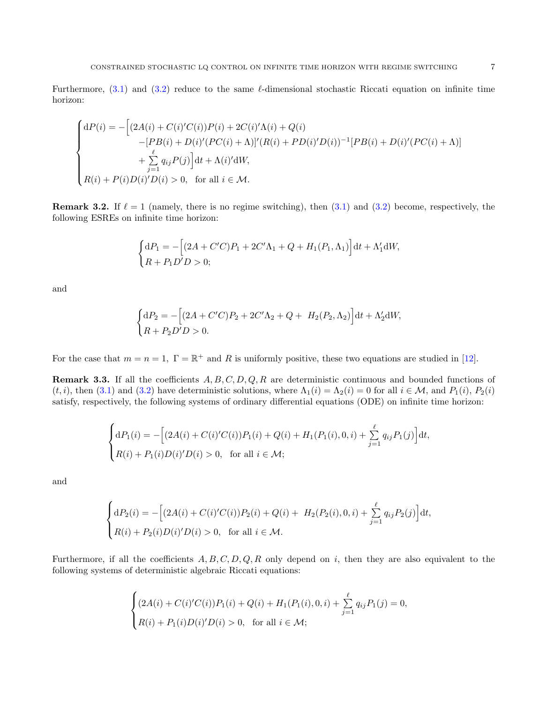Furthermore,  $(3.1)$  and  $(3.2)$  reduce to the same  $\ell$ -dimensional stochastic Riccati equation on infinite time horizon:

$$
\begin{cases}\n\mathrm{d}P(i) = -\Big[(2A(i) + C(i)'C(i))P(i) + 2C(i)'\Lambda(i) + Q(i) \\
\hspace{2.5cm} -[PB(i) + D(i)'(PC(i) + \Lambda)]'(R(i) + PD(i)'D(i))^{-1}[PB(i) + D(i)'(PC(i) + \Lambda)] \\
\hspace{2.5cm} + \sum_{j=1}^{\ell} q_{ij}P(j)\Big] \mathrm{d}t + \Lambda(i)' \mathrm{d}W, \\
R(i) + P(i)D(i)'D(i) > 0, \quad \text{for all } i \in \mathcal{M}.\n\end{cases}
$$

**Remark 3.2.** If  $\ell = 1$  (namely, there is no regime switching), then  $(3.1)$  and  $(3.2)$  become, respectively, the following ESREs on infinite time horizon:

$$
\begin{cases} \mathrm{d}P_1 = -\Big[ (2A + C'C)P_1 + 2C'\Lambda_1 + Q + H_1(P_1, \Lambda_1) \Big] \mathrm{d}t + \Lambda'_1 \mathrm{d}W, \\ R + P_1 D'D > 0; \end{cases}
$$

and

$$
\begin{cases} dP_2 = -[(2A + C'C)P_2 + 2C'\Lambda_2 + Q + H_2(P_2, \Lambda_2)]dt + \Lambda'_2 dW, \\ R + P_2 D'D > 0. \end{cases}
$$

For the case that  $m = n = 1$ ,  $\Gamma = \mathbb{R}^+$  and R is uniformly positive, these two equations are studied in [\[12\]](#page-22-8).

**Remark 3.3.** If all the coefficients  $A, B, C, D, Q, R$  are deterministic continuous and bounded functions of  $(t, i)$ , then [\(3.1\)](#page-5-1) and [\(3.2\)](#page-5-2) have deterministic solutions, where  $\Lambda_1(i) = \Lambda_2(i) = 0$  for all  $i \in \mathcal{M}$ , and  $P_1(i)$ ,  $P_2(i)$ satisfy, respectively, the following systems of ordinary differential equations (ODE) on infinite time horizon:

$$
\begin{cases} dP_1(i) = -\Big[(2A(i) + C(i)'C(i))P_1(i) + Q(i) + H_1(P_1(i), 0, i) + \sum_{j=1}^{\ell} q_{ij}P_1(j)\Big]dt, \\ R(i) + P_1(i)D(i)'D(i) > 0, \text{ for all } i \in \mathcal{M}; \end{cases}
$$

and

$$
\begin{cases} dP_2(i) = -\left[ (2A(i) + C(i)'C(i))P_2(i) + Q(i) + H_2(P_2(i), 0, i) + \sum_{j=1}^{\ell} q_{ij} P_2(j) \right] dt, \\ R(i) + P_2(i)D(i)'D(i) > 0, \text{ for all } i \in \mathcal{M}. \end{cases}
$$

Furthermore, if all the coefficients  $A, B, C, D, Q, R$  only depend on i, then they are also equivalent to the following systems of deterministic algebraic Riccati equations:

$$
\begin{cases}\n(2A(i) + C(i)'C(i))P_1(i) + Q(i) + H_1(P_1(i), 0, i) + \sum_{j=1}^{\ell} q_{ij}P_1(j) = 0, \\
R(i) + P_1(i)D(i)'D(i) > 0, \text{ for all } i \in \mathcal{M};\n\end{cases}
$$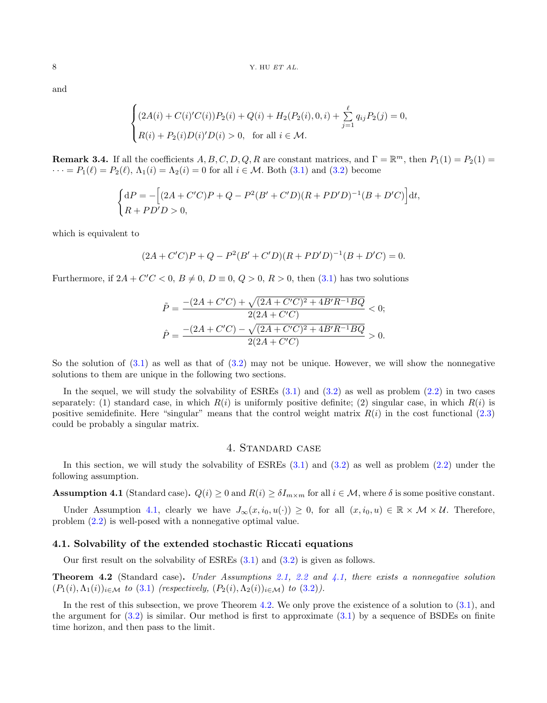and

$$
\begin{cases}\n(2A(i) + C(i)'C(i))P_2(i) + Q(i) + H_2(P_2(i), 0, i) + \sum_{j=1}^{\ell} q_{ij}P_2(j) = 0, \\
R(i) + P_2(i)D(i)'D(i) > 0, \text{ for all } i \in \mathcal{M}.\n\end{cases}
$$

**Remark 3.4.** If all the coefficients  $A, B, C, D, Q, R$  are constant matrices, and  $\Gamma = \mathbb{R}^m$ , then  $P_1(1) = P_2(1) =$  $\cdots = P_1(\ell) = P_2(\ell), \Lambda_1(i) = \Lambda_2(i) = 0$  for all  $i \in \mathcal{M}$ . Both [\(3.1\)](#page-5-1) and [\(3.2\)](#page-5-2) become

$$
\begin{cases} dP = -[(2A + C'C)P + Q - P^2(B' + C'D)(R + PD'D)^{-1}(B + D'C)]dt, \\ R + PD'D > 0, \end{cases}
$$

which is equivalent to

$$
(2A + C'C)P + Q - P2(B' + C'D)(R + PD'D)-1(B + D'C) = 0.
$$

Furthermore, if  $2A + C'C < 0$ ,  $B \neq 0$ ,  $D \equiv 0$ ,  $Q > 0$ ,  $R > 0$ , then  $(3.1)$  has two solutions

$$
\tilde{P} = \frac{-(2A + C'C) + \sqrt{(2A + C'C)^2 + 4B'R^{-1}BQ}}{2(2A + C'C)} < 0;
$$
\n
$$
\hat{P} = \frac{-(2A + C'C) - \sqrt{(2A + C'C)^2 + 4B'R^{-1}BQ}}{2(2A + C'C)} > 0.
$$

So the solution of  $(3.1)$  as well as that of  $(3.2)$  may not be unique. However, we will show the nonnegative solutions to them are unique in the following two sections.

In the sequel, we will study the solvability of ESREs  $(3.1)$  and  $(3.2)$  as well as problem  $(2.2)$  in two cases separately: (1) standard case, in which  $R(i)$  is uniformly positive definite; (2) singular case, in which  $R(i)$  is positive semidefinite. Here "singular" means that the control weight matrix  $R(i)$  in the cost functional [\(2.3\)](#page-3-2) could be probably a singular matrix.

#### 4. Standard case

<span id="page-7-0"></span>In this section, we will study the solvability of ESREs [\(3.1\)](#page-5-1) and [\(3.2\)](#page-5-2) as well as problem [\(2.2\)](#page-2-1) under the following assumption.

<span id="page-7-1"></span>**Assumption 4.1** (Standard case).  $Q(i) \ge 0$  and  $R(i) \ge \delta I_{m \times m}$  for all  $i \in \mathcal{M}$ , where  $\delta$  is some positive constant.

Under Assumption [4.1,](#page-7-1) clearly we have  $J_{\infty}(x, i_0, u(\cdot)) \geq 0$ , for all  $(x, i_0, u) \in \mathbb{R} \times \mathcal{M} \times \mathcal{U}$ . Therefore, problem [\(2.2\)](#page-2-1) is well-posed with a nonnegative optimal value.

#### 4.1. Solvability of the extended stochastic Riccati equations

Our first result on the solvability of ESREs [\(3.1\)](#page-5-1) and [\(3.2\)](#page-5-2) is given as follows.

<span id="page-7-2"></span>Theorem 4.2 (Standard case). Under Assumptions [2.1,](#page-3-0) [2.2](#page-3-1) and [4.1,](#page-7-1) there exists a nonnegative solution  $(P_1(i), \Lambda_1(i))_{i \in \mathcal{M}}$  to  $(3.1)$  (respectively,  $(P_2(i), \Lambda_2(i))_{i \in \mathcal{M}}$ ) to  $(3.2)$ ).

In the rest of this subsection, we prove Theorem [4.2.](#page-7-2) We only prove the existence of a solution to [\(3.1\)](#page-5-1), and the argument for  $(3.2)$  is similar. Our method is first to approximate  $(3.1)$  by a sequence of BSDEs on finite time horizon, and then pass to the limit.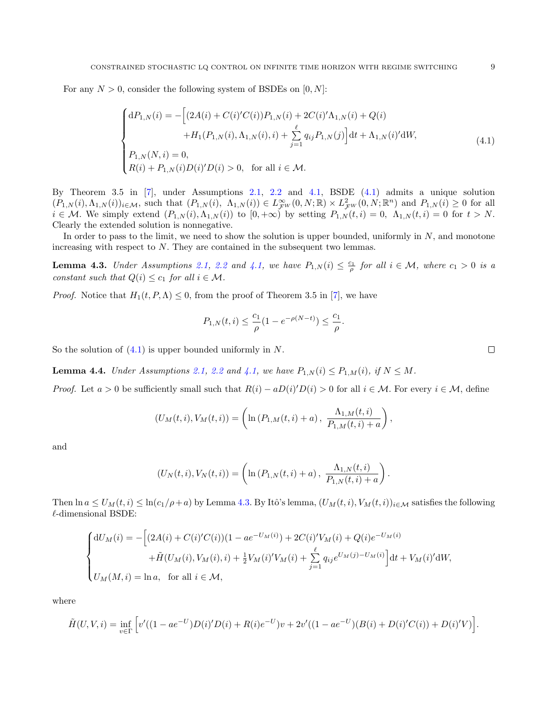For any  $N > 0$ , consider the following system of BSDEs on  $[0, N]$ :

$$
\begin{cases}\ndP_{1,N}(i) = -\left[ (2A(i) + C(i)'C(i))P_{1,N}(i) + 2C(i)' \Lambda_{1,N}(i) + Q(i) \right. \\
\left. + H_1(P_{1,N}(i), \Lambda_{1,N}(i), i) + \sum_{j=1}^{\ell} q_{ij} P_{1,N}(j) \right] dt + \Lambda_{1,N}(i)' dW, \\
P_{1,N}(N, i) = 0, \\
R(i) + P_{1,N}(i)D(i)'D(i) > 0, \text{ for all } i \in \mathcal{M}.\n\end{cases} \tag{4.1}
$$

By Theorem 3.5 in [\[7\]](#page-22-10), under Assumptions [2.1,](#page-3-0) [2.2](#page-3-1) and [4.1,](#page-7-1) BSDE [\(4.1\)](#page-8-0) admits a unique solution  $(P_{1,N}(i), \Lambda_{1,N}(i))_{i \in \mathcal{M}}$ , such that  $(P_{1,N}(i), \Lambda_{1,N}(i)) \in L^{\infty}_{\mathcal{F}^W}(0,N;\mathbb{R}) \times L^2_{\mathcal{F}^W}(0,N;\mathbb{R}^n)$  and  $P_{1,N}(i) \geq 0$  for all  $i \in \mathcal{M}$ . We simply extend  $(P_{1,N}(i), \Lambda_{1,N}(i))$  to  $[0, +\infty)$  by setting  $P_{1,N}(t, i) = 0$ ,  $\Lambda_{1,N}(t, i) = 0$  for  $t > N$ . Clearly the extended solution is nonnegative.

In order to pass to the limit, we need to show the solution is upper bounded, uniformly in  $N$ , and monotone increasing with respect to N. They are contained in the subsequent two lemmas.

<span id="page-8-1"></span>**Lemma 4.3.** Under Assumptions [2.1,](#page-3-0) [2.2](#page-3-1) and [4.1,](#page-7-1) we have  $P_{1,N}(i) \leq \frac{c_1}{\rho}$  for all  $i \in \mathcal{M}$ , where  $c_1 > 0$  is a constant such that  $Q(i) \leq c_1$  for all  $i \in \mathcal{M}$ .

*Proof.* Notice that  $H_1(t, P, \Lambda) \leq 0$ , from the proof of Theorem 3.5 in [\[7\]](#page-22-10), we have

<span id="page-8-0"></span>
$$
P_{1,N}(t,i) \le \frac{c_1}{\rho} (1 - e^{-\rho(N-t)}) \le \frac{c_1}{\rho}.
$$

So the solution of  $(4.1)$  is upper bounded uniformly in N.

<span id="page-8-2"></span>**Lemma 4.4.** Under Assumptions [2.1,](#page-3-0) [2.2](#page-3-1) and [4.1,](#page-7-1) we have  $P_{1,N}(i) \leq P_{1,M}(i)$ , if  $N \leq M$ .

*Proof.* Let  $a > 0$  be sufficiently small such that  $R(i) - aD(i)D(i) > 0$  for all  $i \in \mathcal{M}$ . For every  $i \in \mathcal{M}$ , define

$$
(U_M(t,i), V_M(t,i)) = \left(\ln (P_{1,M}(t,i) + a), \frac{\Lambda_{1,M}(t,i)}{P_{1,M}(t,i) + a}\right),\,
$$

and

$$
(U_N(t,i), V_N(t,i)) = \left(\ln(P_{1,N}(t,i) + a), \ \frac{\Lambda_{1,N}(t,i)}{P_{1,N}(t,i) + a}\right).
$$

Then  $\ln a \le U_M(t, i) \le \ln(c_1/\rho + a)$  by Lemma [4.3.](#page-8-1) By Itô's lemma,  $(U_M(t, i), V_M(t, i))_{i \in \mathcal{M}}$  satisfies the following  $\ell$ -dimensional BSDE:

$$
\begin{cases} dU_M(i) = -\Big[(2A(i) + C(i)'C(i))(1 - ae^{-U_M(i)}) + 2C(i)'V_M(i) + Q(i)e^{-U_M(i)} \\ \qquad + \tilde{H}(U_M(i), V_M(i), i) + \frac{1}{2}V_M(i)'V_M(i) + \sum_{j=1}^{\ell} q_{ij}e^{U_M(j) - U_M(i)}\Big]dt + V_M(i)'dW, \\ U_M(M, i) = \ln a, \text{ for all } i \in \mathcal{M}, \end{cases}
$$

where

$$
\tilde{H}(U,V,i) = \inf_{v \in \Gamma} \left[ v'((1 - ae^{-U})D(i)'D(i) + R(i)e^{-U})v + 2v'((1 - ae^{-U})(B(i) + D(i)'C(i)) + D(i)'V) \right].
$$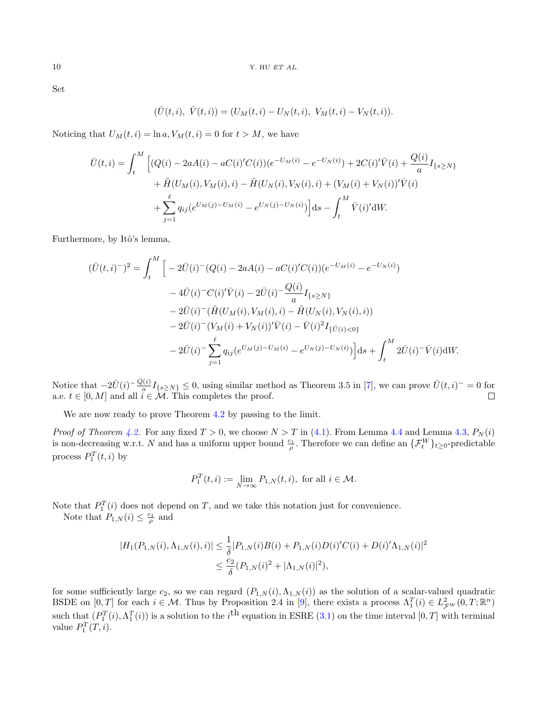Set

$$
(\bar{U}(t,i),\ \bar{V}(t,i))=(U_M(t,i)-U_N(t,i),\ V_M(t,i)-V_N(t,i)).
$$

Noticing that  $U_M(t, i) = \ln a, V_M(t, i) = 0$  for  $t > M$ , we have

$$
\bar{U}(t,i) = \int_{t}^{M} \left[ (Q(i) - 2aA(i) - aC(i)'C(i))(e^{-U_M(i)} - e^{-U_N(i)}) + 2C(i)'\bar{V}(i) + \frac{Q(i)}{a}I_{\{s \ge N\}} + \tilde{H}(U_M(i), V_M(i), i) - \tilde{H}(U_N(i), V_N(i), i) + (V_M(i) + V_N(i))'\bar{V}(i) + \sum_{j=1}^{\ell} q_{ij}(e^{U_M(j)} - U_M(i) - e^{U_N(j)} - U_N(i)) \right] ds - \int_{t}^{M} \bar{V}(i)'dW.
$$

Furthermore, by Itô's lemma,

$$
(\bar{U}(t,i)^{-})^{2} = \int_{t}^{M} \left[ -2\bar{U}(i)^{-}(Q(i) - 2aA(i) - aC(i)^{\prime}C(i))(e^{-U_{M}(i)} - e^{-U_{N}(i)}) - 4\bar{U}(i)^{-}C(i)^{\prime}\bar{V}(i) - 2\bar{U}(i)^{-}\frac{Q(i)}{a}I_{\{s \geq N\}} - 2\bar{U}(i)^{-}(\tilde{H}(U_{M}(i), V_{M}(i), i) - \tilde{H}(U_{N}(i), V_{N}(i), i)) - 2\bar{U}(i)^{-}(V_{M}(i) + V_{N}(i))^{\prime}\bar{V}(i) - \bar{V}(i)^{2}I_{\{\bar{U}(i) < 0\}} - 2\bar{U}(i)^{-}\sum_{j=1}^{\ell} q_{ij}(e^{U_{M}(j) - U_{M}(i)} - e^{U_{N}(j) - U_{N}(i)})\right]ds + \int_{t}^{M} 2\bar{U}(i)^{-}\bar{V}(i)dW.
$$

Notice that  $-2\bar{U}(i)^{-}\frac{Q(i)}{a}I_{\{s\geq N\}}\leq 0$ , using similar method as Theorem 3.5 in [\[7\]](#page-22-10), we can prove  $\bar{U}(t,i)^{-}=0$  for a.e.  $t \in [0, M]$  and all  $i \in \mathcal{M}$ . This completes the proof.

We are now ready to prove Theorem [4.2](#page-7-2) by passing to the limit.

*Proof of Theorem [4.2.](#page-7-2)* For any fixed  $T > 0$ , we choose  $N > T$  in [\(4.1\)](#page-8-0). From Lemma [4.4](#page-8-2) and Lemma [4.3,](#page-8-1)  $P_N(i)$ is non-decreasing w.r.t. N and has a uniform upper bound  $\frac{c_1}{\rho}$ . Therefore we can define an  $\{\mathcal{F}_t^W\}_{t\geq 0}$ -predictable process  $P_1^T(t,i)$  by

$$
P_1^T(t,i) := \lim_{N \to \infty} P_{1,N}(t,i), \text{ for all } i \in \mathcal{M}.
$$

Note that  $P_1^T(i)$  does not depend on T, and we take this notation just for convenience.

Note that  $P_{1,N}(i) \leq \frac{c_1}{\rho}$  and

$$
|H_1(P_{1,N}(i), \Lambda_{1,N}(i), i)| \leq \frac{1}{\delta} |P_{1,N}(i)B(i) + P_{1,N}(i)D(i)'C(i) + D(i)' \Lambda_{1,N}(i)|^2
$$
  

$$
\leq \frac{c_2}{\delta} (P_{1,N}(i)^2 + |\Lambda_{1,N}(i)|^2),
$$

for some sufficiently large  $c_2$ , so we can regard  $(P_{1,N}(i),\Lambda_{1,N}(i))$  as the solution of a scalar-valued quadratic BSDE on  $[0, T]$  for each  $i \in \mathcal{M}$ . Thus by Proposition 2.4 in [\[9\]](#page-22-11), there exists a process  $\Lambda_1^T(i) \in L^2_{\mathcal{F}^W}(0, T; \mathbb{R}^n)$ such that  $(P_1^T(i), \Lambda_1^T(i))$  is a solution to the i<sup>th</sup> equation in ESRE [\(3.1\)](#page-5-1) on the time interval  $[0, T]$  with terminal value  $P_1^T(T, i)$ .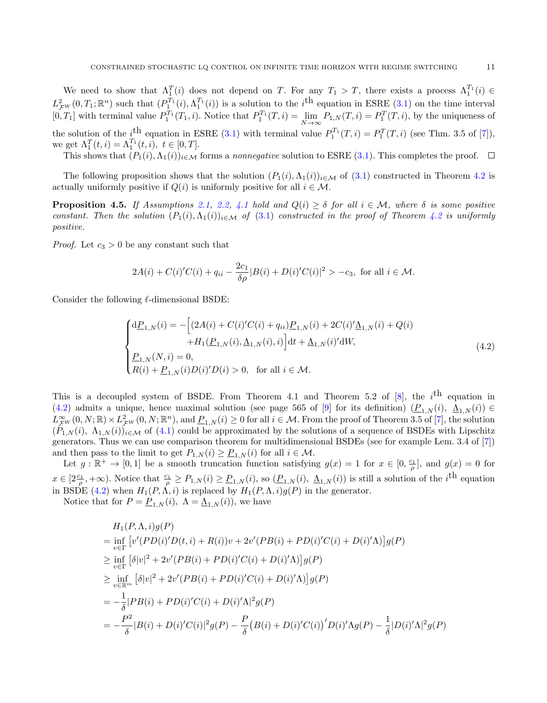We need to show that  $\Lambda_1^T(i)$  does not depend on T. For any  $T_1 > T$ , there exists a process  $\Lambda_1^{T_1}(i) \in$  $L^2_{\mathcal{F}W}(0,T_1;\mathbb{R}^n)$  such that  $(P^{T_1}_\mathcal{I}(i),\Lambda^{T_1}_1(i))$  is a solution to the *i*<sup>th</sup> equation in ESRE [\(3.1\)](#page-5-1) on the time interval [0, T<sub>1</sub>] with terminal value  $P_1^{T_1}(T_1, i)$ . Notice that  $P_1^{T_1}(T, i) = \lim_{N \to \infty} P_{1,N}(T, i) = P_1^{T}(T, i)$ , by the uniqueness of the solution of the  $i^{\text{th}}$  equation in ESRE [\(3.1\)](#page-5-1) with terminal value  $P_1^{T_1}(T,i) = P_1^{T}(T,i)$  (see Thm. 3.5 of [\[7\]](#page-22-10)), we get  $\Lambda_1^T(t, i) = \Lambda_1^{T_1}(t, i), t \in [0, T].$ 

This shows that  $(P_1(i), \Lambda_1(i))_{i \in \mathcal{M}}$  forms a nonnegative solution to ESRE [\(3.1\)](#page-5-1). This completes the proof.  $\Box$ 

The following proposition shows that the solution  $(P_1(i), \Lambda_1(i))_{i\in\mathcal{M}}$  of  $(3.1)$  constructed in Theorem [4.2](#page-7-2) is actually uniformly positive if  $Q(i)$  is uniformly positive for all  $i \in \mathcal{M}$ .

**Proposition 4.5.** If Assumptions [2.1,](#page-3-0) [2.2,](#page-3-1) [4.1](#page-7-1) hold and  $Q(i) \geq \delta$  for all  $i \in \mathcal{M}$ , where  $\delta$  is some positive constant. Then the solution  $(P_1(i), \Lambda_1(i))_{i \in \mathcal{M}}$  of  $(3.1)$  constructed in the proof of Theorem [4.2](#page-7-2) is uniformly positive.

*Proof.* Let  $c_3 > 0$  be any constant such that

$$
2A(i) + C(i)'C(i) + q_{ii} - \frac{2c_1}{\delta \rho} |B(i) + D(i)'C(i)|^2 > -c_3
$$
, for all  $i \in \mathcal{M}$ .

Consider the following  $\ell$ -dimensional BSDE:

<span id="page-10-0"></span>
$$
\begin{cases}\nd\underline{P}_{1,N}(i) = -\left[ (2A(i) + C(i)'C(i) + q_{ii})\underline{P}_{1,N}(i) + 2C(i)'\underline{\Lambda}_{1,N}(i) + Q(i) \right. \\
\left. + H_1(\underline{P}_{1,N}(i), \underline{\Lambda}_{1,N}(i), i) \right] dt + \underline{\Lambda}_{1,N}(i)'dW, \\
\underline{P}_{1,N}(N, i) = 0, \\
R(i) + \underline{P}_{1,N}(i)D(i)'D(i) > 0, \text{ for all } i \in \mathcal{M}.\n\end{cases} \tag{4.2}
$$

This is a decoupled system of BSDE. From Theorem 4.1 and Theorem 5.2 of [\[8\]](#page-22-3), the  $i^{\text{th}}$  equation in [\(4.2\)](#page-10-0) admits a unique, hence maximal solution (see page 565 of [\[9\]](#page-22-11) for its definition)  $(P_{1,N}(i), \Delta_{1,N}(i)) \in$  $L^{\infty}_{\mathcal{F}^W}(0, N; \mathbb{R}) \times L^2_{\mathcal{F}^W}(0, N; \mathbb{R}^n)$ , and  $\underline{P}_{1,N}(i) \geq 0$  for all  $i \in \mathcal{M}$ . From the proof of Theorem 3.5 of [\[7\]](#page-22-10), the solution  $(P_{1,N}(i), \Lambda_{1,N}(i))_{i\in\mathcal{M}}$  of [\(4.1\)](#page-8-0) could be approximated by the solutions of a sequence of BSDEs with Lipschitz generators. Thus we can use comparison theorem for multidimensional BSDEs (see for example Lem. 3.4 of [\[7\]](#page-22-10)) and then pass to the limit to get  $P_{1,N}(i) \geq \underline{P}_{1,N}(i)$  for all  $i \in \mathcal{M}$ .

Let  $g : \mathbb{R}^+ \to [0,1]$  be a smooth truncation function satisfying  $g(x) = 1$  for  $x \in [0, \frac{c_1}{\rho}]$ , and  $g(x) = 0$  for  $x \in [2\frac{c_1}{\rho}, +\infty)$ . Notice that  $\frac{c_1}{\rho} \ge P_{1,N}(i) \ge \underline{P}_{1,N}(i)$ , so  $(\underline{P}_{1,N}(i), \underline{\Lambda}_{1,N}(i))$  is still a solution of the  $i^{\text{th}}$  equation in BSDE [\(4.2\)](#page-10-0) when  $H_1(P, \Lambda, i)$  is replaced by  $H_1(P, \Lambda, i)g(P)$  in the generator.

Notice that for  $P = P_{1,N}(i)$ ,  $\Lambda = \underline{\Lambda}_{1,N}(i)$ , we have

$$
H_{1}(P, \Lambda, i)g(P)
$$
  
=  $\inf_{v \in \Gamma} [v'(PD(i')D(t, i) + R(i))v + 2v'(PB(i) + PD(i)'C(i) + D(i)'\Lambda)]g(P)$   
 $\geq \inf_{v \in \Gamma} [\delta|v|^{2} + 2v'(PB(i) + PD(i)'C(i) + D(i)'\Lambda)]g(P)$   
 $\geq \inf_{v \in \mathbb{R}^{m}} [\delta|v|^{2} + 2v'(PB(i) + PD(i)'C(i) + D(i)'\Lambda)]g(P)$   
=  $-\frac{1}{\delta}|PB(i) + PD(i)'C(i) + D(i)'\Lambda|^{2}g(P)$   
=  $-\frac{P^{2}}{\delta}|B(i) + D(i)'C(i)|^{2}g(P) - \frac{P}{\delta}(B(i) + D(i)'C(i))'D(i)'\Lambda g(P) - \frac{1}{\delta}|D(i)'\Lambda|^{2}g(P)$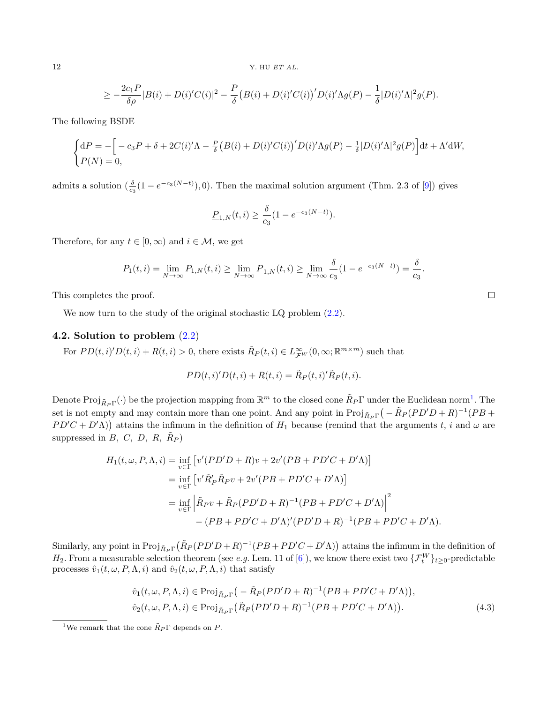$$
\geq -\frac{2c_1P}{\delta\rho}|B(i) + D(i)'C(i)|^2 - \frac{P}{\delta}\big(B(i) + D(i)'C(i)\big)'D(i)'\Lambda g(P) - \frac{1}{\delta}|D(i)'\Lambda|^2 g(P).
$$

The following BSDE

$$
\begin{cases} dP = -\Big[-c_3P + \delta + 2C(i)'\Lambda - \frac{P}{\delta}\big(B(i) + D(i)'C(i)\big)'D(i)'\Lambda g(P) - \frac{1}{\delta}|D(i)'\Lambda|^2 g(P)\Big]dt + \Lambda'dW, \\ P(N) = 0, \end{cases}
$$

admits a solution  $(\frac{\delta}{c_3}(1 - e^{-c_3(N-t)}), 0)$ . Then the maximal solution argument (Thm. 2.3 of [\[9\]](#page-22-11)) gives

$$
\underline{P}_{1,N}(t,i) \ge \frac{\delta}{c_3} (1 - e^{-c_3(N-t)}).
$$

Therefore, for any  $t \in [0, \infty)$  and  $i \in \mathcal{M}$ , we get

$$
P_1(t,i) = \lim_{N \to \infty} P_{1,N}(t,i) \ge \lim_{N \to \infty} P_{1,N}(t,i) \ge \lim_{N \to \infty} \frac{\delta}{c_3} (1 - e^{-c_3(N-t)}) = \frac{\delta}{c_3}.
$$

This completes the proof.

We now turn to the study of the original stochastic LQ problem  $(2.2)$ .

#### 4.2. Solution to problem [\(2.2\)](#page-2-1)

For  $PD(t, i) \setminus D(t, i) + R(t, i) > 0$ , there exists  $\tilde{R}_P(t, i) \in L^{\infty}_{\mathcal{F}^W}(0, \infty; \mathbb{R}^{m \times m})$  such that

$$
PD(t,i)'D(t,i) + R(t,i) = \tilde{R}_P(t,i)' \tilde{R}_P(t,i).
$$

Denote  $\text{Proj}_{\tilde{R}_P\Gamma}(\cdot)$  be the projection mapping from  $\mathbb{R}^m$  to the closed cone  $\tilde{R}_P\Gamma$  under the Euclidean norm<sup>[1](#page-11-0)</sup>. The set is not empty and may contain more than one point. And any point in  $\text{Proj}_{\tilde{R}_P\Gamma}(-\tilde{R}_P(PD'D + R)^{-1}(PB +$  $PD'C + D'\Lambda$ ) attains the infimum in the definition of  $H_1$  because (remind that the arguments t, i and  $\omega$  are suppressed in  $B, C, D, R, \tilde{R}_P$ 

$$
H_1(t, \omega, P, \Lambda, i) = \inf_{v \in \Gamma} \left[ v'(PD'D + R)v + 2v'(PB + PD'C + D'\Lambda) \right]
$$
  
=  $\inf_{v \in \Gamma} \left[ v'\tilde{R}'_P\tilde{R}_Pv + 2v'(PB + PD'C + D'\Lambda) \right]$   
=  $\inf_{v \in \Gamma} \left| \tilde{R}_Pv + \tilde{R}_P(PD'D + R)^{-1}(PB + PD'C + D'\Lambda) \right|^2$   
-  $(PB + PD'C + D'\Lambda)'(PD'D + R)^{-1}(PB + PD'C + D'\Lambda).$ 

Similarly, any point in  $\text{Proj}_{\tilde{R}_P}(\tilde{R}_P(PD'D + R)^{-1}(PB + PD'C + D'\Lambda))$  attains the infimum in the definition of  $H_2$ . From a measurable selection theorem (see *e.g.* Lem. 11 of [\[6\]](#page-22-12)), we know there exist two  $\{\mathcal{F}_t^W\}_{t\geq 0}$ -predictable processes  $\hat{v}_1(t, \omega, P, \Lambda, i)$  and  $\hat{v}_2(t, \omega, P, \Lambda, i)$  that satisfy

<span id="page-11-1"></span>
$$
\hat{v}_1(t,\omega,P,\Lambda,i) \in \text{Proj}_{\tilde{R}_P\Gamma}(-\tilde{R}_P(PD'D + R)^{-1}(PB + PD'C + D'\Lambda)),
$$
  

$$
\hat{v}_2(t,\omega,P,\Lambda,i) \in \text{Proj}_{\tilde{R}_P\Gamma}(\tilde{R}_P(PD'D + R)^{-1}(PB + PD'C + D'\Lambda)).
$$
 (4.3)

<span id="page-11-0"></span><sup>&</sup>lt;sup>1</sup>We remark that the cone  $\tilde{R}_P \Gamma$  depends on P.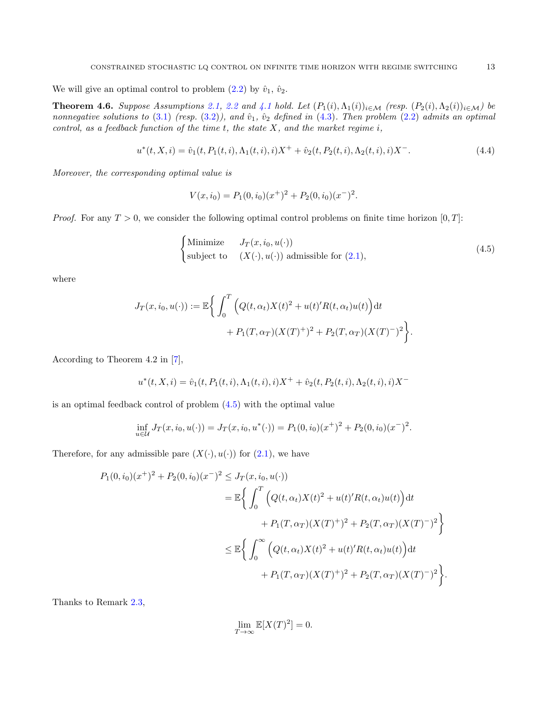We will give an optimal control to problem  $(2.2)$  by  $\hat{v}_1$ ,  $\hat{v}_2$ .

<span id="page-12-1"></span>**Theorem 4.6.** Suppose Assumptions [2.1,](#page-3-0) [2.2](#page-3-1) and [4.1](#page-7-1) hold. Let  $(P_1(i), \Lambda_1(i))_{i \in \mathcal{M}}$  (resp.  $(P_2(i), \Lambda_2(i))_{i \in \mathcal{M}}$ ) be nonnegative solutions to [\(3.1\)](#page-5-1) (resp.  $(3.2)$ ), and  $\hat{v}_1$ ,  $\hat{v}_2$  defined in [\(4.3\)](#page-11-1). Then problem [\(2.2\)](#page-2-1) admits an optimal control, as a feedback function of the time  $t$ , the state  $X$ , and the market regime  $i$ ,

$$
u^*(t, X, i) = \hat{v}_1(t, P_1(t, i), \Lambda_1(t, i), i)X^+ + \hat{v}_2(t, P_2(t, i), \Lambda_2(t, i), i)X^-.
$$
\n(4.4)

Moreover, the corresponding optimal value is

<span id="page-12-2"></span><span id="page-12-0"></span>
$$
V(x, i_0) = P_1(0, i_0)(x^+)^2 + P_2(0, i_0)(x^-)^2.
$$

*Proof.* For any  $T > 0$ , we consider the following optimal control problems on finite time horizon  $[0, T]$ :

$$
\begin{cases}\n\text{Minimize} & J_T(x, i_0, u(\cdot)) \\
\text{subject to} & (X(\cdot), u(\cdot)) \text{ admissible for } (2.1),\n\end{cases} (4.5)
$$

where

$$
J_T(x, i_0, u(\cdot)) := \mathbb{E}\bigg\{\int_0^T \Big(Q(t, \alpha_t)X(t)^2 + u(t)'R(t, \alpha_t)u(t)\Big)dt + P_1(T, \alpha_T)(X(T)^+)^2 + P_2(T, \alpha_T)(X(T)^-)^2\bigg\}.
$$

According to Theorem 4.2 in [\[7\]](#page-22-10),

$$
u^*(t, X, i) = \hat{v}_1(t, P_1(t, i), \Lambda_1(t, i), i)X^+ + \hat{v}_2(t, P_2(t, i), \Lambda_2(t, i), i)X^-
$$

is an optimal feedback control of problem [\(4.5\)](#page-12-0) with the optimal value

$$
\inf_{u \in \mathcal{U}} J_T(x, i_0, u(\cdot)) = J_T(x, i_0, u^*(\cdot)) = P_1(0, i_0)(x^+)^2 + P_2(0, i_0)(x^-)^2.
$$

Therefore, for any admissible pare  $(X(\cdot), u(\cdot))$  for  $(2.1)$ , we have

$$
P_1(0, i_0)(x^+)^2 + P_2(0, i_0)(x^-)^2 \leq J_T(x, i_0, u(\cdot))
$$
  
=  $\mathbb{E}\left\{\int_0^T \left(Q(t, \alpha_t)X(t)^2 + u(t)'R(t, \alpha_t)u(t)\right)dt$   
+  $P_1(T, \alpha_T)(X(T)^+)^2 + P_2(T, \alpha_T)(X(T)^-)^2\right\}$   
 $\leq \mathbb{E}\left\{\int_0^\infty \left(Q(t, \alpha_t)X(t)^2 + u(t)'R(t, \alpha_t)u(t)\right)dt$   
+  $P_1(T, \alpha_T)(X(T)^+)^2 + P_2(T, \alpha_T)(X(T)^-)^2\right\}.$ 

Thanks to Remark [2.3,](#page-3-3)

$$
\lim_{T \to \infty} \mathbb{E}[X(T)^2] = 0.
$$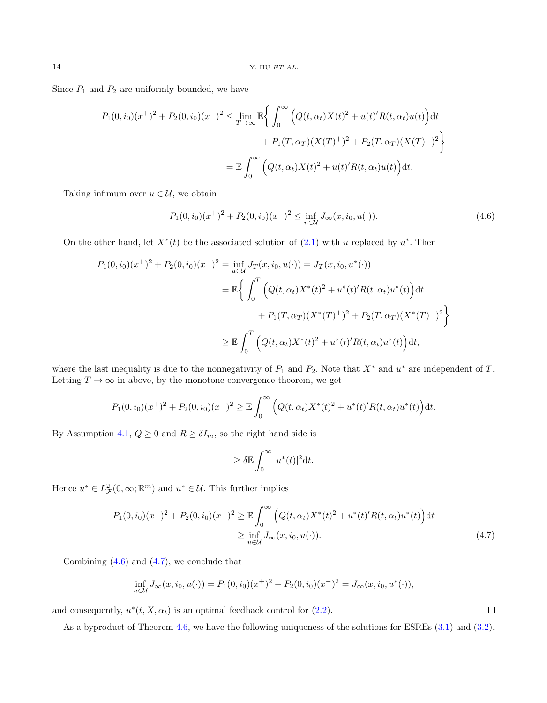Since  $P_1$  and  $P_2$  are uniformly bounded, we have

$$
P_1(0, i_0)(x^+)^2 + P_2(0, i_0)(x^-)^2 \le \lim_{T \to \infty} \mathbb{E} \bigg\{ \int_0^{\infty} \Big( Q(t, \alpha_t) X(t)^2 + u(t)' R(t, \alpha_t) u(t) \Big) dt
$$
  
+ 
$$
P_1(T, \alpha_T) (X(T)^+)^2 + P_2(T, \alpha_T) (X(T)^-)^2 \bigg\}
$$
  
= 
$$
\mathbb{E} \int_0^{\infty} \Big( Q(t, \alpha_t) X(t)^2 + u(t)' R(t, \alpha_t) u(t) \Big) dt.
$$

Taking infimum over  $u \in \mathcal{U}$ , we obtain

<span id="page-13-0"></span>
$$
P_1(0, i_0)(x^+)^2 + P_2(0, i_0)(x^-)^2 \le \inf_{u \in \mathcal{U}} J_\infty(x, i_0, u(\cdot)). \tag{4.6}
$$

On the other hand, let  $X^*(t)$  be the associated solution of  $(2.1)$  with u replaced by  $u^*$ . Then

$$
P_1(0, i_0)(x^+)^2 + P_2(0, i_0)(x^-)^2 = \inf_{u \in \mathcal{U}} J_T(x, i_0, u(\cdot)) = J_T(x, i_0, u^*(\cdot))
$$
  

$$
= \mathbb{E}\left\{\int_0^T \left(Q(t, \alpha_t)X^*(t)^2 + u^*(t)'R(t, \alpha_t)u^*(t)\right)dt + P_1(T, \alpha_T)(X^*(T)^+)^2 + P_2(T, \alpha_T)(X^*(T)^-)^2\right\}
$$
  

$$
\geq \mathbb{E}\int_0^T \left(Q(t, \alpha_t)X^*(t)^2 + u^*(t)'R(t, \alpha_t)u^*(t)\right)dt,
$$

where the last inequality is due to the nonnegativity of  $P_1$  and  $P_2$ . Note that  $X^*$  and  $u^*$  are independent of  $T$ . Letting  $T \to \infty$  in above, by the monotone convergence theorem, we get

$$
P_1(0, i_0)(x^+)^2 + P_2(0, i_0)(x^-)^2 \geq \mathbb{E} \int_0^{\infty} \left( Q(t, \alpha_t) X^*(t)^2 + u^*(t)' R(t, \alpha_t) u^*(t) \right) dt.
$$

By Assumption [4.1,](#page-7-1)  $Q \ge 0$  and  $R \ge \delta I_m$ , so the right hand side is

$$
\geq \delta \mathbb{E} \int_0^\infty |u^*(t)|^2 \mathrm{d} t.
$$

Hence  $u^* \in L^2_{\mathcal{F}}(0,\infty;\mathbb{R}^m)$  and  $u^* \in \mathcal{U}$ . This further implies

$$
P_1(0, i_0)(x^+)^2 + P_2(0, i_0)(x^-)^2 \ge \mathbb{E} \int_0^\infty \left( Q(t, \alpha_t) X^*(t)^2 + u^*(t)' R(t, \alpha_t) u^*(t) \right) dt
$$
  
 
$$
\ge \inf_{u \in \mathcal{U}} J_\infty(x, i_0, u(\cdot)). \tag{4.7}
$$

<span id="page-13-1"></span> $\Box$ 

Combining  $(4.6)$  and  $(4.7)$ , we conclude that

$$
\inf_{u \in \mathcal{U}} J_{\infty}(x, i_0, u(\cdot)) = P_1(0, i_0)(x^+)^2 + P_2(0, i_0)(x^-)^2 = J_{\infty}(x, i_0, u^*(\cdot)),
$$

and consequently,  $u^*(t, X, \alpha_t)$  is an optimal feedback control for [\(2.2\)](#page-2-1).

As a byproduct of Theorem [4.6,](#page-12-1) we have the following uniqueness of the solutions for ESREs [\(3.1\)](#page-5-1) and [\(3.2\)](#page-5-2).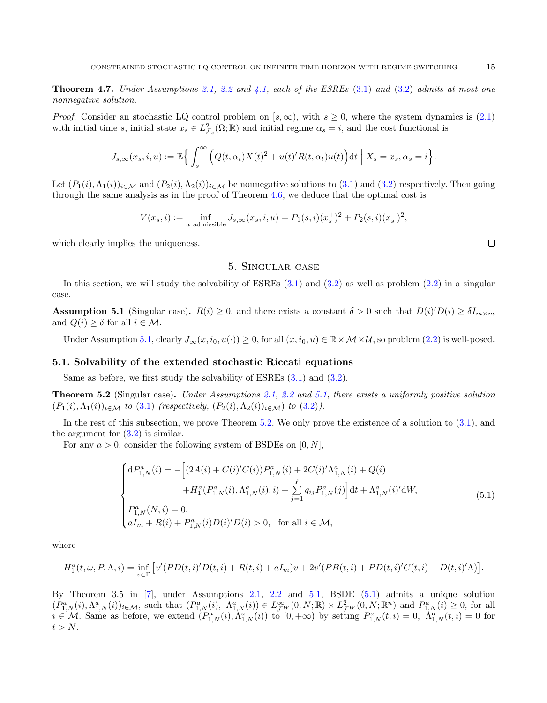<span id="page-14-4"></span>**Theorem 4.7.** Under Assumptions [2.1,](#page-3-0) [2.2](#page-3-1) and [4.1,](#page-7-1) each of the ESREs  $(3.1)$  and  $(3.2)$  admits at most one nonnegative solution.

*Proof.* Consider an stochastic LQ control problem on [s,  $\infty$ ), with  $s \geq 0$ , where the system dynamics is [\(2.1\)](#page-2-0) with initial time s, initial state  $x_s \in L^2_{\mathcal{F}_s}(\Omega;\mathbb{R})$  and initial regime  $\alpha_s = i$ , and the cost functional is

$$
J_{s,\infty}(x_s, i, u) := \mathbb{E}\Big\{\int_s^{\infty} \Big(Q(t, \alpha_t)X(t)^2 + u(t)^{\prime}R(t, \alpha_t)u(t)\Big)\mathrm{d}t\Big| X_s = x_s, \alpha_s = i\Big\}.
$$

Let  $(P_1(i), \Lambda_1(i))_{i \in \mathcal{M}}$  and  $(P_2(i), \Lambda_2(i))_{i \in \mathcal{M}}$  be nonnegative solutions to [\(3.1\)](#page-5-1) and [\(3.2\)](#page-5-2) respectively. Then going through the same analysis as in the proof of Theorem [4.6,](#page-12-1) we deduce that the optimal cost is

$$
V(x_s, i) := \inf_{u \text{ admissible}} J_{s,\infty}(x_s, i, u) = P_1(s, i)(x_s^+)^2 + P_2(s, i)(x_s^-)^2,
$$

<span id="page-14-0"></span>which clearly implies the uniqueness.

#### <span id="page-14-3"></span>5. Singular case

In this section, we will study the solvability of ESREs  $(3.1)$  and  $(3.2)$  as well as problem  $(2.2)$  in a singular case.

<span id="page-14-1"></span>**Assumption 5.1** (Singular case).  $R(i) \geq 0$ , and there exists a constant  $\delta > 0$  such that  $D(i)'D(i) \geq \delta I_{m \times m}$ and  $Q(i) \geq \delta$  for all  $i \in \mathcal{M}$ .

Under Assumption [5.1,](#page-14-1) clearly  $J_{\infty}(x, i_0, u(\cdot)) \ge 0$ , for all  $(x, i_0, u) \in \mathbb{R} \times \mathcal{M} \times \mathcal{U}$ , so problem [\(2.2\)](#page-2-1) is well-posed.

#### 5.1. Solvability of the extended stochastic Riccati equations

Same as before, we first study the solvability of ESREs [\(3.1\)](#page-5-1) and [\(3.2\)](#page-5-2).

<span id="page-14-2"></span>Theorem 5.2 (Singular case). Under Assumptions [2.1,](#page-3-0) [2.2](#page-3-1) and [5.1,](#page-14-1) there exists a uniformly positive solution  $(P_1(i), \Lambda_1(i))_{i \in \mathcal{M}}$  to  $(3.1)$  (respectively,  $(P_2(i), \Lambda_2(i))_{i \in \mathcal{M}}$ ) to  $(3.2)$ ).

In the rest of this subsection, we prove Theorem [5.2.](#page-14-2) We only prove the existence of a solution to [\(3.1\)](#page-5-1), and the argument for [\(3.2\)](#page-5-2) is similar.

For any  $a > 0$ , consider the following system of BSDEs on [0, N],

$$
\begin{cases}\ndP_{1,N}^{a}(i) = -\left[ (2A(i) + C(i)'C(i))P_{1,N}^{a}(i) + 2C(i)' \Lambda_{1,N}^{a}(i) + Q(i) \right. \\
\left. + H_{1}^{a}(P_{1,N}^{a}(i), \Lambda_{1,N}^{a}(i), i) + \sum_{j=1}^{\ell} q_{ij} P_{1,N}^{a}(j) \right] dt + \Lambda_{1,N}^{a}(i)' dW, \\
P_{1,N}^{a}(N, i) = 0, \\
aI_{m} + R(i) + P_{1,N}^{a}(i)D(i)'D(i) > 0, \text{ for all } i \in \mathcal{M},\n\end{cases}
$$
\n(5.1)

where

$$
H_1^a(t, \omega, P, \Lambda, i) = \inf_{v \in \Gamma} \left[ v'(PD(t, i)'D(t, i) + R(t, i) + aI_m)v + 2v'(PB(t, i) + PD(t, i)'C(t, i) + D(t, i)'\Lambda) \right].
$$

By Theorem 3.5 in [\[7\]](#page-22-10), under Assumptions [2.1,](#page-3-0) [2.2](#page-3-1) and [5.1,](#page-14-1) BSDE [\(5.1\)](#page-14-3) admits a unique solution  $(P_{1,N}^a(i), \Lambda_{1,N}^a(i))_{i \in \mathcal{M}}$ , such that  $(P_{1,N}^a(i), \Lambda_{1,N}^a(i)) \in L^{\infty}_{\mathcal{F}^W}(0, N; \mathbb{R}) \times L^2_{\mathcal{F}^W}(0, N; \mathbb{R}^n)$  and  $P_{1,N}^a(i) \geq 0$ , for all  $i \in \mathcal{M}$ . Same as before, we extend  $(P_{1,N}^a(i), \Lambda_{1,N}^a(i))$  to  $[0, +\infty)$  by setting  $P_{1,N}^a(t, i) = 0$ ,  $\Lambda_{1,N}^a(t, i) = 0$  for  $t > N$ .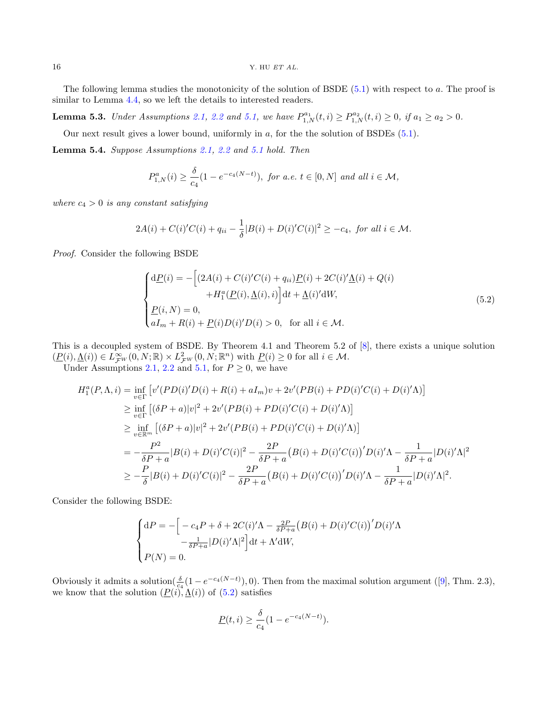$16$  Y. HU  $ET$  AL.

The following lemma studies the monotonicity of the solution of BSDE [\(5.1\)](#page-14-3) with respect to a. The proof is similar to Lemma [4.4,](#page-12-2) so we left the details to interested readers.

<span id="page-15-2"></span>**Lemma 5.3.** Under Assumptions [2.1,](#page-3-0) [2.2](#page-3-1) and [5.1,](#page-14-1) we have  $P_{1,N}^{a_1}(t, i) \ge P_{1,N}^{a_2}(t, i) \ge 0$ , if  $a_1 \ge a_2 > 0$ .

Our next result gives a lower bound, uniformly in a, for the the solution of BSDEs [\(5.1\)](#page-14-3).

<span id="page-15-1"></span>Lemma 5.4. Suppose Assumptions [2.1,](#page-3-0) [2.2](#page-3-1) and [5.1](#page-14-1) hold. Then

$$
P_{1,N}^{a}(i) \ge \frac{\delta}{c_4} (1 - e^{-c_4(N-t)}), \text{ for a.e. } t \in [0, N] \text{ and all } i \in \mathcal{M},
$$

where  $c_4 > 0$  is any constant satisfying

$$
2A(i) + C(i)'C(i) + q_{ii} - \frac{1}{\delta}|B(i) + D(i)'C(i)|^2 \ge -c_4, \text{ for all } i \in \mathcal{M}.
$$

Proof. Consider the following BSDE

<span id="page-15-0"></span>
$$
\begin{cases}\nd\underline{P}(i) = -\left[(2A(i) + C(i)'C(i) + q_{ii})\underline{P}(i) + 2C(i)\underline{A}(i) + Q(i)\right. \\
\left. + H_1^a(\underline{P}(i), \underline{A}(i), i)\right]dt + \underline{A}(i)\underline{A}(i)\underline{A}(i), \\
\underline{P}(i, N) = 0, \\
aI_m + R(i) + \underline{P}(i)D(i)D(i) > 0, \text{ for all } i \in \mathcal{M}.\n\end{cases} \tag{5.2}
$$

This is a decoupled system of BSDE. By Theorem 4.1 and Theorem 5.2 of [\[8\]](#page-22-3), there exists a unique solution  $(\underline{P}(i), \underline{\Lambda}(i)) \in L^{\infty}_{\mathcal{F}^{W}}(0, N; \mathbb{R}) \times L^{2}_{\mathcal{F}^{W}}(0, N; \mathbb{R}^{n})$  with  $\underline{P}(i) \geq 0$  for all  $i \in \mathcal{M}$ .

Under Assumptions [2.1,](#page-3-0) [2.2](#page-3-1) and [5.1,](#page-14-1) for  $P \geq 0$ , we have

$$
H_1^a(P, \Lambda, i) = \inf_{v \in \Gamma} \left[ v'(PD(i)'D(i) + R(i) + aI_m)v + 2v'(PB(i) + PD(i)'C(i) + D(i)'\Lambda) \right]
$$
  
\n
$$
\geq \inf_{v \in \Gamma} \left[ (\delta P + a)|v|^2 + 2v'(PB(i) + PD(i)'C(i) + D(i)'\Lambda) \right]
$$
  
\n
$$
\geq \inf_{v \in \mathbb{R}^m} \left[ (\delta P + a)|v|^2 + 2v'(PB(i) + PD(i)'C(i) + D(i)'\Lambda) \right]
$$
  
\n
$$
= -\frac{P^2}{\delta P + a}|B(i) + D(i)'C(i)|^2 - \frac{2P}{\delta P + a}(B(i) + D(i)'C(i))'D(i)'\Lambda - \frac{1}{\delta P + a}|D(i)'\Lambda|^2
$$
  
\n
$$
\geq -\frac{P}{\delta}|B(i) + D(i)'C(i)|^2 - \frac{2P}{\delta P + a}(B(i) + D(i)'C(i))'D(i)'\Lambda - \frac{1}{\delta P + a}|D(i)'\Lambda|^2.
$$

Consider the following BSDE:

$$
\begin{cases} dP = -\Big[-c_4P + \delta + 2C(i)'\Lambda - \frac{2P}{\delta P + a}\big(B(i) + D(i)'C(i)\big)'D(i)'\Lambda - \frac{1}{\delta P + a}|D(i)'\Lambda|^2\Big]dt + \Lambda'dW, \\ P(N) = 0. \end{cases}
$$

Obviouslyit admits a solution  $(\frac{\delta}{c_4}(1-e^{-c_4(N-t)}), 0)$ . Then from the maximal solution argument ([\[9\]](#page-22-11), Thm. 2.3), we know that the solution  $(P(i), \underline{\Lambda}(i))$  of  $(5.2)$  satisfies

$$
\underline{P}(t,i) \ge \frac{\delta}{c_4} (1 - e^{-c_4(N-t)}).
$$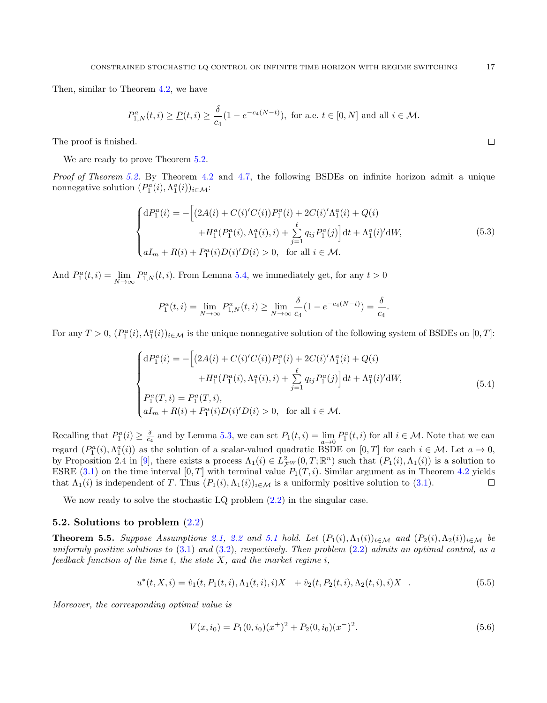Then, similar to Theorem [4.2,](#page-7-2) we have

$$
P_{1,N}^{a}(t, i) \ge \underline{P}(t, i) \ge \frac{\delta}{c_4} (1 - e^{-c_4(N-t)}),
$$
 for a.e.  $t \in [0, N]$  and all  $i \in \mathcal{M}$ .

The proof is finished.

We are ready to prove Theorem  $5.2$ .

Proof of Theorem [5.2.](#page-14-2) By Theorem [4.2](#page-7-2) and [4.7,](#page-14-4) the following BSDEs on infinite horizon admit a unique nonnegative solution  $(P_1^a(i), \Lambda_1^a(i))_{i \in \mathcal{M}}$ :

$$
\begin{cases}\ndP_1^a(i) = -\left[ (2A(i) + C(i)'C(i))P_1^a(i) + 2C(i)' \Lambda_1^a(i) + Q(i) \right. \\
\left. + H_1^a(P_1^a(i), \Lambda_1^a(i), i) + \sum_{j=1}^\ell q_{ij} P_1^a(j) \right] dt + \Lambda_1^a(i)' dW, \\
aI_m + R(i) + P_1^a(i)D(i)'D(i) > 0, \text{ for all } i \in \mathcal{M}.\n\end{cases} \tag{5.3}
$$

And  $P_1^a(t, i) = \lim_{N \to \infty} P_{1,N}^a(t, i)$ . From Lemma [5.4,](#page-15-1) we immediately get, for any  $t > 0$ 

$$
P_1^a(t,i) = \lim_{N \to \infty} P_{1,N}^a(t,i) \ge \lim_{N \to \infty} \frac{\delta}{c_4} (1 - e^{-c_4(N-t)}) = \frac{\delta}{c_4}.
$$

For any  $T > 0$ ,  $(P_1^a(i), \Lambda_1^a(i))_{i \in \mathcal{M}}$  is the unique nonnegative solution of the following system of BSDEs on  $[0, T]$ :

$$
\begin{cases}\ndP_1^a(i) = -\left[ (2A(i) + C(i)'C(i))P_1^a(i) + 2C(i)'\Lambda_1^a(i) + Q(i) \right. \\
\left. + H_1^a(P_1^a(i), \Lambda_1^a(i), i) + \sum_{j=1}^\ell q_{ij}P_1^a(j) \right] dt + \Lambda_1^a(i)'dW, \\
P_1^a(T, i) = P_1^a(T, i), \\
aI_m + R(i) + P_1^a(i)D(i)'D(i) > 0, \text{ for all } i \in \mathcal{M}.\n\end{cases} \tag{5.4}
$$

Recalling that  $P_1^a(i) \geq \frac{\delta}{c_4}$  and by Lemma [5.3,](#page-15-2) we can set  $P_1(t, i) = \lim_{a \to 0} P_1^a(t, i)$  for all  $i \in \mathcal{M}$ . Note that we can regard  $(P_1^a(i), \Lambda_1^a(i))$  as the solution of a scalar-valued quadratic BSDE on  $[0, T]$  for each  $i \in \mathcal{M}$ . Let  $a \to 0$ , by Proposition 2.4 in [\[9\]](#page-22-11), there exists a process  $\Lambda_1(i) \in L^2_{\mathcal{F}W}(0,T;\mathbb{R}^n)$  such that  $(P_1(i),\Lambda_1(i))$  is a solution to ESRE  $(3.1)$  on the time interval  $[0, T]$  with terminal value  $P_1(T, i)$ . Similar argument as in Theorem [4.2](#page-7-2) yields that  $\Lambda_1(i)$  is independent of T. Thus  $(P_1(i), \Lambda_1(i))_{i \in \mathcal{M}}$  is a uniformly positive solution to [\(3.1\)](#page-5-1).  $\Box$ 

We now ready to solve the stochastic  $LQ$  problem  $(2.2)$  in the singular case.

#### 5.2. Solutions to problem [\(2.2\)](#page-2-1)

<span id="page-16-2"></span>**Theorem 5.5.** Suppose Assumptions [2.1,](#page-3-0) [2.2](#page-3-1) and [5.1](#page-14-1) hold. Let  $(P_1(i), \Lambda_1(i))_{i \in \mathcal{M}}$  and  $(P_2(i), \Lambda_2(i))_{i \in \mathcal{M}}$  be uniformly positive solutions to  $(3.1)$  and  $(3.2)$ , respectively. Then problem  $(2.2)$  admits an optimal control, as a feedback function of the time  $t$ , the state  $X$ , and the market regime  $i$ ,

$$
u^*(t, X, i) = \hat{v}_1(t, P_1(t, i), \Lambda_1(t, i), i)X^+ + \hat{v}_2(t, P_2(t, i), \Lambda_2(t, i), i)X^-.
$$
\n(5.5)

Moreover, the corresponding optimal value is

<span id="page-16-1"></span><span id="page-16-0"></span>
$$
V(x, i_0) = P_1(0, i_0)(x^+)^2 + P_2(0, i_0)(x^-)^2.
$$
\n(5.6)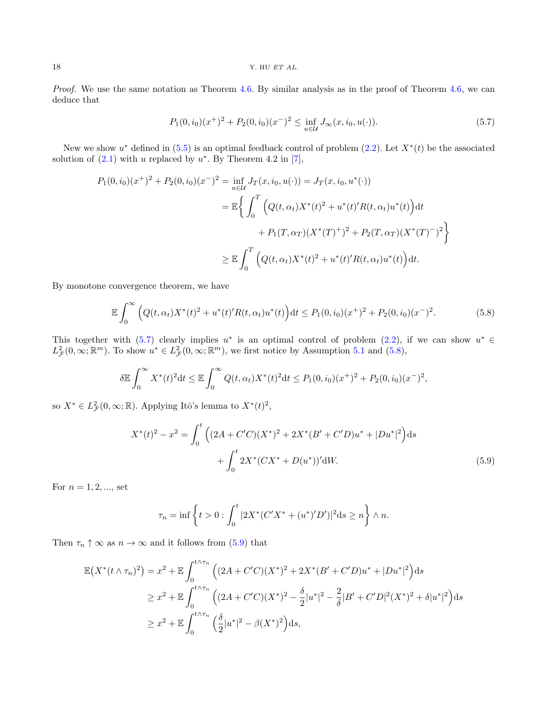Proof. We use the same notation as Theorem [4.6.](#page-12-1) By similar analysis as in the proof of Theorem [4.6,](#page-12-1) we can deduce that

<span id="page-17-1"></span><span id="page-17-0"></span>
$$
P_1(0, i_0)(x^+)^2 + P_2(0, i_0)(x^-)^2 \le \inf_{u \in \mathcal{U}} J_\infty(x, i_0, u(\cdot)).
$$
\n(5.7)

New we show  $u^*$  defined in  $(5.5)$  is an optimal feedback control of problem  $(2.2)$ . Let  $X^*(t)$  be the associated solution of  $(2.1)$  with u replaced by  $u^*$ . By Theorem 4.2 in [\[7\]](#page-22-10),

$$
P_1(0, i_0)(x^+)^2 + P_2(0, i_0)(x^-)^2 = \inf_{u \in \mathcal{U}} J_T(x, i_0, u(\cdot)) = J_T(x, i_0, u^*(\cdot))
$$
  

$$
= \mathbb{E}\left\{\int_0^T \left(Q(t, \alpha_t)X^*(t)^2 + u^*(t)R(t, \alpha_t)u^*(t)\right)dt + P_1(T, \alpha_T)(X^*(T)^+)^2 + P_2(T, \alpha_T)(X^*(T)^-)^2\right\}
$$
  

$$
\geq \mathbb{E}\int_0^T \left(Q(t, \alpha_t)X^*(t)^2 + u^*(t)R(t, \alpha_t)u^*(t)\right)dt.
$$

By monotone convergence theorem, we have

$$
\mathbb{E}\int_0^\infty \left( Q(t,\alpha_t)X^*(t)^2 + u^*(t)'R(t,\alpha_t)u^*(t) \right) dt \le P_1(0,i_0)(x^+)^2 + P_2(0,i_0)(x^-)^2. \tag{5.8}
$$

This together with  $(5.7)$  clearly implies  $u^*$  is an optimal control of problem  $(2.2)$ , if we can show  $u^* \in$  $L^2_{\mathcal{F}}(0,\infty;\mathbb{R}^m)$ . To show  $u^* \in L^2_{\mathcal{F}}(0,\infty;\mathbb{R}^m)$ , we first notice by Assumption [5.1](#page-14-1) and [\(5.8\)](#page-17-1),

$$
\delta \mathbb{E} \int_0^\infty X^*(t)^2 dt \le \mathbb{E} \int_0^\infty Q(t, \alpha_t) X^*(t)^2 dt \le P_1(0, i_0) (x^+)^2 + P_2(0, i_0) (x^-)^2,
$$

so  $X^* \in L^2_{\mathcal{F}}(0,\infty;\mathbb{R})$ . Applying Itô's lemma to  $X^*(t)^2$ ,

$$
X^*(t)^2 - x^2 = \int_0^t \left( (2A + C'C)(X^*)^2 + 2X^*(B' + C'D)u^* + |Du^*|^2 \right) ds
$$
  
+ 
$$
\int_0^t 2X^*(CX^* + D(u^*))' dW.
$$
 (5.9)

For  $n = 1, 2, ...,$  set

<span id="page-17-2"></span>
$$
\tau_n = \inf \left\{ t > 0 : \int_0^t |2X^*(C'X^* + (u^*)'D')|^2 ds \ge n \right\} \wedge n.
$$

Then  $\tau_n \uparrow \infty$  as  $n \to \infty$  and it follows from [\(5.9\)](#page-17-2) that

$$
\mathbb{E}\left(X^*(t\wedge\tau_n)^2\right) = x^2 + \mathbb{E}\int_0^{t\wedge\tau_n} \left( (2A + C'C)(X^*)^2 + 2X^*(B' + C'D)u^* + |Du^*|^2 \right) ds
$$
  
\n
$$
\geq x^2 + \mathbb{E}\int_0^{t\wedge\tau_n} \left( (2A + C'C)(X^*)^2 - \frac{\delta}{2}|u^*|^2 - \frac{2}{\delta}|B' + C'D|^2(X^*)^2 + \delta|u^*|^2 \right) ds
$$
  
\n
$$
\geq x^2 + \mathbb{E}\int_0^{t\wedge\tau_n} \left( \frac{\delta}{2}|u^*|^2 - \beta(X^*)^2 \right) ds,
$$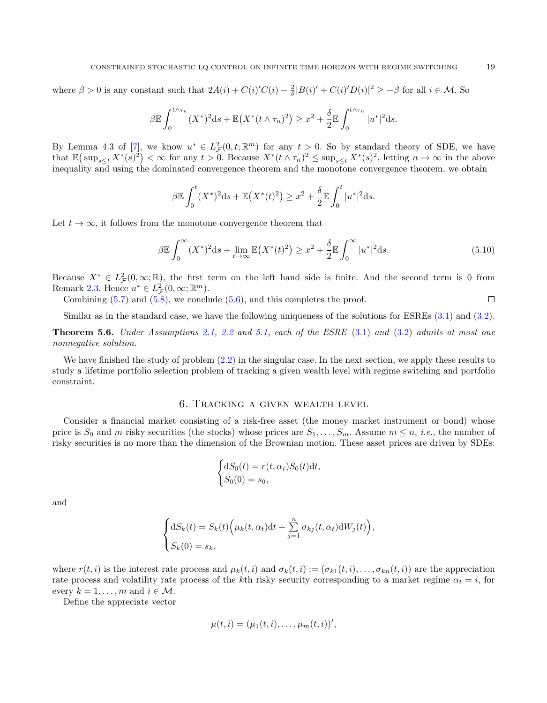where  $\beta > 0$  is any constant such that  $2A(i) + C(i)'C(i) - \frac{2}{\delta}|B(i)' + C(i)'D(i)|^2 \ge -\beta$  for all  $i \in \mathcal{M}$ . So

$$
\beta \mathbb{E} \int_0^{t \wedge \tau_n} (X^*)^2 \mathrm{d}s + \mathbb{E} \big(X^*(t \wedge \tau_n)^2\big) \geq x^2 + \frac{\delta}{2} \mathbb{E} \int_0^{t \wedge \tau_n} |u^*|^2 \mathrm{d}s.
$$

By Lemma 4.3 of  $[7]$ , we know  $u^* \in L^2_{\mathcal{F}}(0,t;\mathbb{R}^m)$  for any  $t > 0$ . So by standard theory of SDE, we have that  $\mathbb{E}(\sup_{s\leq t} X^*(s)^2)<\infty$  for any  $t>0$ . Because  $X^*(t\wedge \tau_n)^2\leq \sup_{s\leq t} X^*(s)^2$ , letting  $n\to\infty$  in the above inequality and using the dominated convergence theorem and the monotone convergence theorem, we obtain

$$
\beta \mathbb{E} \int_0^t (X^*)^2 ds + \mathbb{E} (X^*(t)^2) \geq x^2 + \frac{\delta}{2} \mathbb{E} \int_0^t |u^*|^2 ds.
$$

Let  $t \to \infty$ , it follows from the monotone convergence theorem that

$$
\beta \mathbb{E} \int_0^\infty (X^*)^2 \mathrm{d}s + \lim_{t \to \infty} \mathbb{E} \left( X^*(t)^2 \right) \ge x^2 + \frac{\delta}{2} \mathbb{E} \int_0^\infty |u^*|^2 \mathrm{d}s. \tag{5.10}
$$

Because  $X^* \in L^2_{\mathcal{F}}(0,\infty;\mathbb{R})$ , the first term on the left hand side is finite. And the second term is 0 from Remark [2.3.](#page-3-3) Hence  $u^* \in L^2_{\mathcal{F}}(0,\infty;\mathbb{R}^m)$ .

Combining  $(5.7)$  and  $(5.8)$ , we conclude  $(5.6)$ , and this completes the proof.

Similar as in the standard case, we have the following uniqueness of the solutions for ESREs [\(3.1\)](#page-5-1) and [\(3.2\)](#page-5-2).

<span id="page-18-1"></span>**Theorem 5.6.** Under Assumptions [2.1,](#page-3-0) [2.2](#page-3-1) and [5.1,](#page-14-1) each of the ESRE  $(3.1)$  and  $(3.2)$  admits at most one nonnegative solution.

We have finished the study of problem [\(2.2\)](#page-2-1) in the singular case. In the next section, we apply these results to study a lifetime portfolio selection problem of tracking a given wealth level with regime switching and portfolio constraint.

# 6. Tracking a given wealth level

<span id="page-18-0"></span>Consider a financial market consisting of a risk-free asset (the money market instrument or bond) whose price is  $S_0$  and m risky securities (the stocks) whose prices are  $S_1, \ldots, S_m$ . Assume  $m \leq n$ , *i.e.*, the number of risky securities is no more than the dimension of the Brownian motion. These asset prices are driven by SDEs:

$$
\begin{cases} dS_0(t) = r(t, \alpha_t) S_0(t) dt, \\ S_0(0) = s_0, \end{cases}
$$

and

$$
\begin{cases} dS_k(t) = S_k(t) \Big( \mu_k(t, \alpha_t) dt + \sum_{j=1}^n \sigma_{kj}(t, \alpha_t) dW_j(t) \Big), \\ S_k(0) = s_k, \end{cases}
$$

where  $r(t, i)$  is the interest rate process and  $\mu_k(t, i)$  and  $\sigma_k(t, i) := (\sigma_{k1}(t, i), \dots, \sigma_{kn}(t, i))$  are the appreciation rate process and volatility rate process of the kth risky security corresponding to a market regime  $\alpha_t = i$ , for every  $k = 1, \ldots, m$  and  $i \in \mathcal{M}$ .

Define the appreciate vector

$$
\mu(t,i)=(\mu_1(t,i),\ldots,\mu_m(t,i))',
$$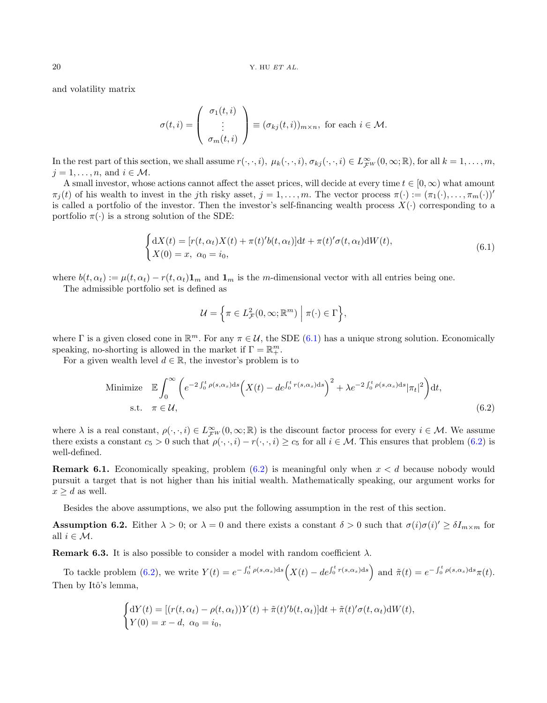and volatility matrix

$$
\sigma(t,i) = \begin{pmatrix} \sigma_1(t,i) \\ \vdots \\ \sigma_m(t,i) \end{pmatrix} \equiv (\sigma_{kj}(t,i))_{m \times n}, \text{ for each } i \in \mathcal{M}.
$$

In the rest part of this section, we shall assume  $r(\cdot,\cdot,i)$ ,  $\mu_k(\cdot,\cdot,i)$ ,  $\sigma_{kj}(\cdot,\cdot,i) \in L^{\infty}_{\mathcal{F}^W}(0,\infty;\mathbb{R})$ , for all  $k=1,\ldots,m$ ,  $i = 1, \ldots, n$ , and  $i \in \mathcal{M}$ .

A small investor, whose actions cannot affect the asset prices, will decide at every time  $t \in [0,\infty)$  what amount  $\pi_j(t)$  of his wealth to invest in the jth risky asset,  $j = 1, \ldots, m$ . The vector process  $\pi(\cdot) := (\pi_1(\cdot), \ldots, \pi_m(\cdot))'$ is called a portfolio of the investor. Then the investor's self-financing wealth process  $X(\cdot)$  corresponding to a portfolio  $\pi(\cdot)$  is a strong solution of the SDE:

$$
\begin{cases} dX(t) = [r(t, \alpha_t)X(t) + \pi(t)'b(t, \alpha_t)]dt + \pi(t)' \sigma(t, \alpha_t) dW(t), \\ X(0) = x, \ \alpha_0 = i_0, \end{cases}
$$
\n(6.1)

where  $b(t, \alpha_t) := \mu(t, \alpha_t) - r(t, \alpha_t) \mathbf{1}_m$  and  $\mathbf{1}_m$  is the m-dimensional vector with all entries being one.

The admissible portfolio set is defined as

<span id="page-19-1"></span><span id="page-19-0"></span>
$$
\mathcal{U} = \left\{ \pi \in L^2_{\mathcal{F}}(0, \infty; \mathbb{R}^m) \mid \pi(\cdot) \in \Gamma \right\},\
$$

where  $\Gamma$  is a given closed cone in  $\mathbb{R}^m$ . For any  $\pi \in \mathcal{U}$ , the SDE [\(6.1\)](#page-19-0) has a unique strong solution. Economically speaking, no-shorting is allowed in the market if  $\Gamma = \mathbb{R}^m_+$ .

For a given wealth level  $d \in \mathbb{R}$ , the investor's problem is to

Minimize 
$$
\mathbb{E} \int_0^{\infty} \left( e^{-2 \int_0^t \rho(s,\alpha_s) ds} \left( X(t) - de^{\int_0^t r(s,\alpha_s) ds} \right)^2 + \lambda e^{-2 \int_0^t \rho(s,\alpha_s) ds} |\pi_t|^2 \right) dt
$$
,  
s.t.  $\pi \in \mathcal{U}$ ,  $(6.2)$ 

where  $\lambda$  is a real constant,  $\rho(\cdot,\cdot,i) \in L^{\infty}_{\mathcal{F}^W}(0,\infty;\mathbb{R})$  is the discount factor process for every  $i \in \mathcal{M}$ . We assume there exists a constant  $c_5 > 0$  such that  $\rho(\cdot, \cdot, i) - r(\cdot, \cdot, i) \ge c_5$  for all  $i \in \mathcal{M}$ . This ensures that problem [\(6.2\)](#page-19-1) is well-defined.

**Remark 6.1.** Economically speaking, problem  $(6.2)$  is meaningful only when  $x < d$  because nobody would pursuit a target that is not higher than his initial wealth. Mathematically speaking, our argument works for  $x > d$  as well.

Besides the above assumptions, we also put the following assumption in the rest of this section.

**Assumption 6.2.** Either  $\lambda > 0$ ; or  $\lambda = 0$  and there exists a constant  $\delta > 0$  such that  $\sigma(i)\sigma(i)' \geq \delta I_{m \times m}$  for all  $i \in \mathcal{M}$ .

**Remark 6.3.** It is also possible to consider a model with random coefficient  $\lambda$ .

To tackle problem [\(6.2\)](#page-19-1), we write  $Y(t) = e^{-\int_0^t \rho(s,\alpha_s)ds} \Big(X(t) - de^{\int_0^t r(s,\alpha_s)ds}\Big)$  and  $\tilde{\pi}(t) = e^{-\int_0^t \rho(s,\alpha_s)ds} \pi(t)$ . Then by Itô's lemma,

$$
\begin{cases} dY(t) = [(r(t, \alpha_t) - \rho(t, \alpha_t))Y(t) + \tilde{\pi}(t)'b(t, \alpha_t)]dt + \tilde{\pi}(t)'\sigma(t, \alpha_t)dW(t), \\ Y(0) = x - d, \ \alpha_0 = i_0, \end{cases}
$$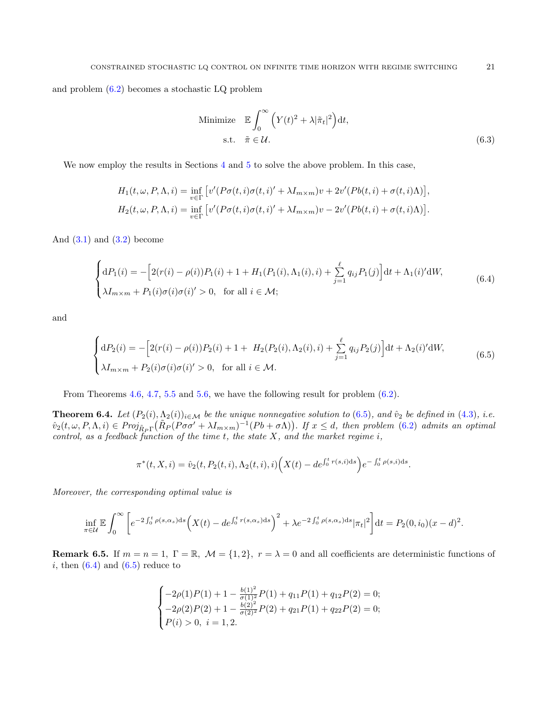and problem [\(6.2\)](#page-19-1) becomes a stochastic LQ problem

<span id="page-20-1"></span>Minimize 
$$
\mathbb{E} \int_0^\infty \left( Y(t)^2 + \lambda |\tilde{\pi}_t|^2 \right) dt
$$
,  
s.t.  $\tilde{\pi} \in \mathcal{U}$ . (6.3)

We now employ the results in Sections [4](#page-7-0) and [5](#page-14-0) to solve the above problem. In this case,

$$
H_1(t, \omega, P, \Lambda, i) = \inf_{v \in \Gamma} \left[ v'(P\sigma(t, i)\sigma(t, i)' + \lambda I_{m \times m})v + 2v'(Pb(t, i) + \sigma(t, i)\Lambda) \right],
$$
  
\n
$$
H_2(t, \omega, P, \Lambda, i) = \inf_{v \in \Gamma} \left[ v'(P\sigma(t, i)\sigma(t, i)' + \lambda I_{m \times m})v - 2v'(Pb(t, i) + \sigma(t, i)\Lambda) \right].
$$

And  $(3.1)$  and  $(3.2)$  become

$$
\begin{cases} dP_1(i) = -\left[2(r(i) - \rho(i))P_1(i) + 1 + H_1(P_1(i), \Lambda_1(i), i) + \sum_{j=1}^{\ell} q_{ij} P_1(j)\right] dt + \Lambda_1(i)' dW, \\ \lambda I_{m \times m} + P_1(i)\sigma(i)\sigma(i)' > 0, \text{ for all } i \in \mathcal{M}; \end{cases}
$$
(6.4)

and

$$
\begin{cases} dP_2(i) = -\left[2(r(i) - \rho(i))P_2(i) + 1 + H_2(P_2(i), \Lambda_2(i), i) + \sum_{j=1}^{\ell} q_{ij} P_2(j)\right] dt + \Lambda_2(i)' dW, \\ \lambda I_{m \times m} + P_2(i)\sigma(i)\sigma(i)' > 0, \text{ for all } i \in \mathcal{M}. \end{cases}
$$
(6.5)

From Theorems [4.6,](#page-12-1) [4.7,](#page-14-4) [5.5](#page-16-2) and [5.6,](#page-18-1) we have the following result for problem [\(6.2\)](#page-19-1).

**Theorem 6.4.** Let  $(P_2(i), \Lambda_2(i))_{i \in \mathcal{M}}$  be the unique nonnegative solution to [\(6.5\)](#page-20-0), and  $\hat{v}_2$  be defined in [\(4.3\)](#page-11-1), i.e.  $\hat{v}_2(t,\omega,P,\Lambda,i) \in Proj_{\tilde{R}_P\Gamma}(\tilde{R}_P(P\sigma\sigma' + \lambda I_{m \times m})^{-1}(Pb + \sigma\Lambda)).$  If  $x \leq d$ , then problem [\(6.2\)](#page-19-1) admits an optimal control, as a feedback function of the time  $t$ , the state  $X$ , and the market regime  $i$ ,

<span id="page-20-0"></span>
$$
\pi^*(t, X, i) = \hat{v}_2(t, P_2(t, i), \Lambda_2(t, i), i) \Big(X(t) - de^{\int_0^t r(s, i)ds}\Big) e^{-\int_0^t \rho(s, i)ds}.
$$

Moreover, the corresponding optimal value is

$$
\inf_{\pi \in \mathcal{U}} \mathbb{E} \int_0^{\infty} \left[ e^{-2 \int_0^t \rho(s, \alpha_s) ds} \left( X(t) - de^{\int_0^t r(s, \alpha_s) ds} \right)^2 + \lambda e^{-2 \int_0^t \rho(s, \alpha_s) ds} |\pi_t|^2 \right] dt = P_2(0, i_0) (x - d)^2.
$$

**Remark 6.5.** If  $m = n = 1$ ,  $\Gamma = \mathbb{R}$ ,  $\mathcal{M} = \{1, 2\}$ ,  $r = \lambda = 0$  and all coefficients are deterministic functions of i, then  $(6.4)$  and  $(6.5)$  reduce to

$$
\begin{cases}\n-2\rho(1)P(1) + 1 - \frac{b(1)^2}{\sigma(1)^2}P(1) + q_{11}P(1) + q_{12}P(2) = 0; \\
-2\rho(2)P(2) + 1 - \frac{b(2)^2}{\sigma(2)^2}P(2) + q_{21}P(1) + q_{22}P(2) = 0; \\
P(i) > 0, i = 1, 2.\n\end{cases}
$$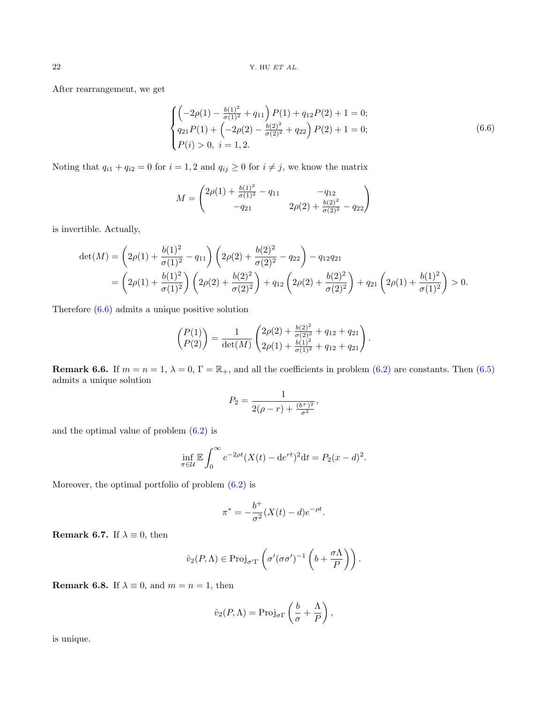After rearrangement, we get

<span id="page-21-0"></span>
$$
\begin{cases}\n\left(-2\rho(1) - \frac{b(1)^2}{\sigma(1)^2} + q_{11}\right)P(1) + q_{12}P(2) + 1 = 0; \\
q_{21}P(1) + \left(-2\rho(2) - \frac{b(2)^2}{\sigma(2)^2} + q_{22}\right)P(2) + 1 = 0; \\
P(i) > 0, \ i = 1, 2.\n\end{cases} (6.6)
$$

Noting that  $q_{i1} + q_{i2} = 0$  for  $i = 1, 2$  and  $q_{ij} \ge 0$  for  $i \ne j$ , we know the matrix

$$
M = \begin{pmatrix} 2\rho(1) + \frac{b(1)^2}{\sigma(1)^2} - q_{11} & -q_{12} \\ -q_{21} & 2\rho(2) + \frac{b(2)^2}{\sigma(2)^2} - q_{22} \end{pmatrix}
$$

is invertible. Actually,

$$
\det(M) = \left(2\rho(1) + \frac{b(1)^2}{\sigma(1)^2} - q_{11}\right) \left(2\rho(2) + \frac{b(2)^2}{\sigma(2)^2} - q_{22}\right) - q_{12}q_{21}
$$
  
=  $\left(2\rho(1) + \frac{b(1)^2}{\sigma(1)^2}\right) \left(2\rho(2) + \frac{b(2)^2}{\sigma(2)^2}\right) + q_{12} \left(2\rho(2) + \frac{b(2)^2}{\sigma(2)^2}\right) + q_{21} \left(2\rho(1) + \frac{b(1)^2}{\sigma(1)^2}\right) > 0.$ 

Therefore [\(6.6\)](#page-21-0) admits a unique positive solution

$$
\begin{pmatrix} P(1) \\ P(2) \end{pmatrix} = \frac{1}{\det(M)} \begin{pmatrix} 2\rho(2) + \frac{b(2)^2}{\sigma(2)^2} + q_{12} + q_{21} \\ 2\rho(1) + \frac{b(1)^2}{\sigma(1)^2} + q_{12} + q_{21} \end{pmatrix}.
$$

**Remark 6.6.** If  $m = n = 1$ ,  $\lambda = 0$ ,  $\Gamma = \mathbb{R}_+$ , and all the coefficients in problem [\(6.2\)](#page-19-1) are constants. Then [\(6.5\)](#page-20-0) admits a unique solution

$$
P_2 = \frac{1}{2(\rho - r) + \frac{(b^+)^2}{\sigma^2}},
$$

and the optimal value of problem [\(6.2\)](#page-19-1) is

$$
\inf_{\pi \in \mathcal{U}} \mathbb{E} \int_0^{\infty} e^{-2\rho t} (X(t) - \mathrm{d}e^{rt})^2 \mathrm{d}t = P_2(x - d)^2.
$$

Moreover, the optimal portfolio of problem  $(6.2)$  is

$$
\pi^* = -\frac{b^+}{\sigma^2} (X(t) - d) e^{-\rho t}.
$$

**Remark 6.7.** If  $\lambda \equiv 0$ , then

$$
\hat{v}_2(P,\Lambda) \in \mathrm{Proj}_{\sigma'\Gamma}\left(\sigma'(\sigma\sigma')^{-1}\left(b+\frac{\sigma\Lambda}{P}\right)\right).
$$

**Remark 6.8.** If  $\lambda \equiv 0$ , and  $m = n = 1$ , then

$$
\hat{v}_2(P,\Lambda) = \text{Proj}_{\sigma\Gamma}\left(\frac{b}{\sigma} + \frac{\Lambda}{P}\right),\,
$$

is unique.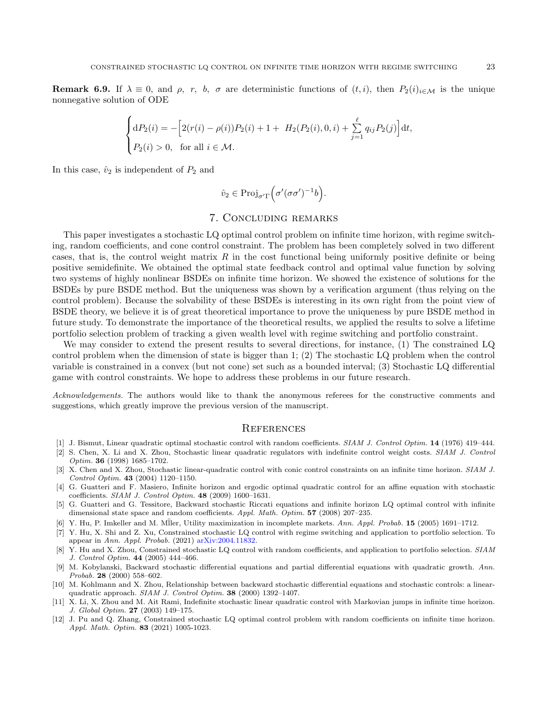**Remark 6.9.** If  $\lambda \equiv 0$ , and  $\rho$ , r, b,  $\sigma$  are deterministic functions of  $(t, i)$ , then  $P_2(i)_{i \in \mathcal{M}}$  is the unique nonnegative solution of ODE

$$
\begin{cases} dP_2(i) = -\left[2(r(i) - \rho(i))P_2(i) + 1 + H_2(P_2(i), 0, i) + \sum_{j=1}^{\ell} q_{ij} P_2(j)\right] dt, \\ P_2(i) > 0, & \text{for all } i \in \mathcal{M}. \end{cases}
$$

In this case,  $\hat{v}_2$  is independent of  $P_2$  and

$$
\hat{v}_2 \in \text{Proj}_{\sigma'\Gamma}\left(\sigma'(\sigma\sigma')^{-1}b\right).
$$

## 7. Concluding remarks

<span id="page-22-9"></span>This paper investigates a stochastic LQ optimal control problem on infinite time horizon, with regime switching, random coefficients, and cone control constraint. The problem has been completely solved in two different cases, that is, the control weight matrix  $R$  in the cost functional being uniformly positive definite or being positive semidefinite. We obtained the optimal state feedback control and optimal value function by solving two systems of highly nonlinear BSDEs on infinite time horizon. We showed the existence of solutions for the BSDEs by pure BSDE method. But the uniqueness was shown by a verification argument (thus relying on the control problem). Because the solvability of these BSDEs is interesting in its own right from the point view of BSDE theory, we believe it is of great theoretical importance to prove the uniqueness by pure BSDE method in future study. To demonstrate the importance of the theoretical results, we applied the results to solve a lifetime portfolio selection problem of tracking a given wealth level with regime switching and portfolio constraint.

We may consider to extend the present results to several directions, for instance, (1) The constrained LQ control problem when the dimension of state is bigger than 1; (2) The stochastic LQ problem when the control variable is constrained in a convex (but not cone) set such as a bounded interval; (3) Stochastic LQ differential game with control constraints. We hope to address these problems in our future research.

Acknowledgements. The authors would like to thank the anonymous referees for the constructive comments and suggestions, which greatly improve the previous version of the manuscript.

#### **REFERENCES**

- <span id="page-22-0"></span>[1] J. Bismut, Linear quadratic optimal stochastic control with random coefficients. SIAM J. Control Optim. 14 (1976) 419–444.
- <span id="page-22-1"></span>[2] S. Chen, X. Li and X. Zhou, Stochastic linear quadratic regulators with indefinite control weight costs. SIAM J. Control Optim. 36 (1998) 1685–1702.
- <span id="page-22-4"></span>[3] X. Chen and X. Zhou, Stochastic linear-quadratic control with conic control constraints on an infinite time horizon. SIAM J. Control Optim. 43 (2004) 1120–1150.
- <span id="page-22-7"></span>[4] G. Guatteri and F. Masiero, Infinite horizon and ergodic optimal quadratic control for an affine equation with stochastic coefficients. SIAM J. Control Optim. 48 (2009) 1600–1631.
- <span id="page-22-6"></span>[5] G. Guatteri and G. Tessitore, Backward stochastic Riccati equations and infinite horizon LQ optimal control with infinite dimensional state space and random coefficients. Appl. Math. Optim. 57 (2008) 207–235.
- <span id="page-22-12"></span>[6] Y. Hu, P. Imkeller and M. M¨ller, Utility maximization in incomplete markets. Ann. Appl. Probab. 15 (2005) 1691–1712.
- <span id="page-22-10"></span>[7] Y. Hu, X. Shi and Z. Xu, Constrained stochastic LQ control with regime switching and application to portfolio selection. To appear in Ann. Appl. Probab. (2021) [arXiv:2004.11832.](https://arxiv.org/abs/2004.11832)
- <span id="page-22-3"></span>[8] Y. Hu and X. Zhou, Constrained stochastic LQ control with random coefficients, and application to portfolio selection. SIAM J. Control Optim. 44 (2005) 444–466.
- <span id="page-22-11"></span>[9] M. Kobylanski, Backward stochastic differential equations and partial differential equations with quadratic growth. Ann. Probab. 28 (2000) 558–602.
- <span id="page-22-2"></span>[10] M. Kohlmann and X. Zhou, Relationship between backward stochastic differential equations and stochastic controls: a linearquadratic approach. SIAM J. Control Optim. 38 (2000) 1392–1407.
- <span id="page-22-5"></span>[11] X. Li, X. Zhou and M. Ait Rami, Indefinite stochastic linear quadratic control with Markovian jumps in infinite time horizon. J. Global Optim. 27 (2003) 149–175.
- <span id="page-22-8"></span>[12] J. Pu and Q. Zhang, Constrained stochastic LQ optimal control problem with random coefficients on infinite time horizon. Appl. Math. Optim. 83 (2021) 1005-1023.